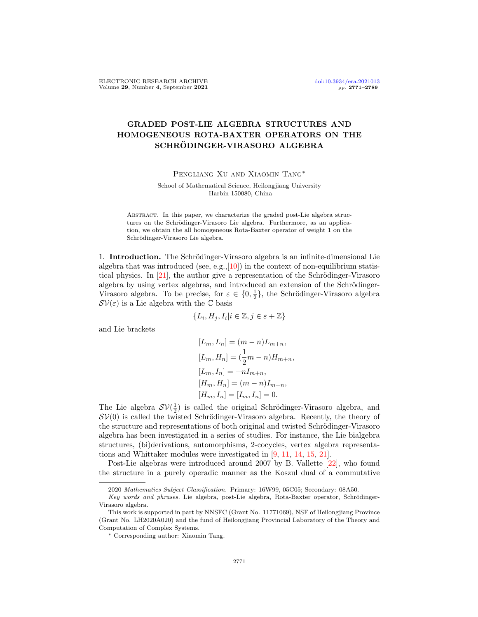## GRADED POST-LIE ALGEBRA STRUCTURES AND HOMOGENEOUS ROTA-BAXTER OPERATORS ON THE SCHRÖDINGER-VIRASORO ALGEBRA

Pengliang Xu and Xiaomin Tang∗

School of Mathematical Science, Heilongjiang University Harbin 150080, China

ABSTRACT. In this paper, we characterize the graded post-Lie algebra structures on the Schrödinger-Virasoro Lie algebra. Furthermore, as an application, we obtain the all homogeneous Rota-Baxter operator of weight 1 on the Schrödinger-Virasoro Lie algebra.

1. **Introduction.** The Schrödinger-Virasoro algebra is an infinite-dimensional Lie algebra that was introduced (see, e.g., $[10]$ ) in the context of non-equilibrium statistical physics. In  $[21]$ , the author give a representation of the Schrödinger-Virasoro algebra by using vertex algebras, and introduced an extension of the Schrödinger-Virasoro algebra. To be precise, for  $\varepsilon \in \{0, \frac{1}{2}\}\$ , the Schrödinger-Virasoro algebra  $\mathcal{SV}(\varepsilon)$  is a Lie algebra with the  $\mathbb C$  basis

$$
\{L_i, H_j, I_i | i \in \mathbb{Z}, j \in \varepsilon + \mathbb{Z}\}
$$

and Lie brackets

$$
[L_m, L_n] = (m - n)L_{m+n},
$$
  
\n
$$
[L_m, H_n] = (\frac{1}{2}m - n)H_{m+n},
$$
  
\n
$$
[L_m, I_n] = -nI_{m+n},
$$
  
\n
$$
[H_m, H_n] = (m - n)I_{m+n},
$$
  
\n
$$
[H_m, I_n] = [I_m, I_n] = 0.
$$

The Lie algebra  $\mathcal{SV}(\frac{1}{2})$  is called the original Schrödinger-Virasoro algebra, and  $SV(0)$  is called the twisted Schrödinger-Virasoro algebra. Recently, the theory of the structure and representations of both original and twisted Schrödinger-Virasoro algebra has been investigated in a series of studies. For instance, the Lie bialgebra structures, (bi)derivations, automorphisms, 2-cocycles, vertex algebra representations and Whittaker modules were investigated in [\[9,](#page-17-1) [11,](#page-17-2) [14,](#page-18-1) [15,](#page-18-2) [21\]](#page-18-0).

Post-Lie algebras were introduced around 2007 by B. Vallette [\[22\]](#page-18-3), who found the structure in a purely operadic manner as the Koszul dual of a commutative

<sup>2020</sup> Mathematics Subject Classification. Primary: 16W99, 05C05; Secondary: 08A50.

Key words and phrases. Lie algebra, post-Lie algebra, Rota-Baxter operator, Schrödinger-Virasoro algebra.

This work is supported in part by NNSFC (Grant No. 11771069), NSF of Heilongjiang Province (Grant No. LH2020A020) and the fund of Heilongjiang Provincial Laboratory of the Theory and Computation of Complex Systems.

<sup>∗</sup> Corresponding author: Xiaomin Tang.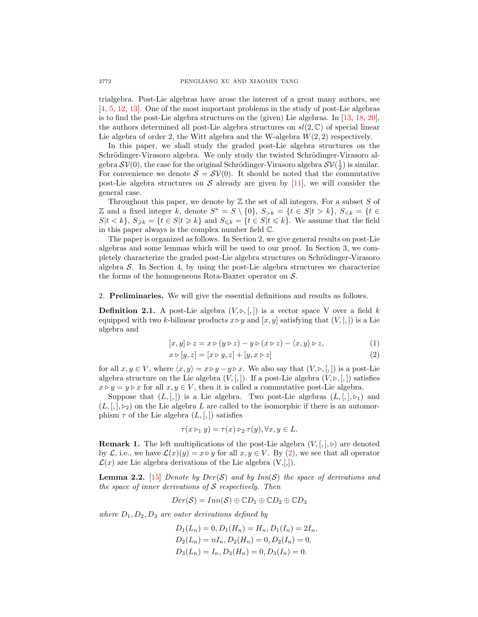trialgebra. Post-Lie algebras have arose the interest of a great many authors, see [\[4,](#page-17-3) [5,](#page-17-4) [12,](#page-18-4) [13\]](#page-18-5). One of the most important problems in the study of post-Lie algebras is to find the post-Lie algebra structures on the (given) Lie algebras. In [\[13,](#page-18-5) [18,](#page-18-6) [20\]](#page-18-7), the authors determined all post-Lie algebra structures on  $sl(2,\mathbb{C})$  of special linear Lie algebra of order 2, the Witt algebra and the W-algebra  $W(2, 2)$  respectively.

In this paper, we shall study the graded post-Lie algebra structures on the Schrödinger-Virasoro algebra. We only study the twisted Schrödinger-Virasoro algebra  $\mathcal{SV}(0)$ , the case for the original Schrödinger-Virasoro algebra  $\mathcal{SV}(\frac{1}{2})$  is similar. For convenience we denote  $S = \mathcal{SV}(0)$ . It should be noted that the commutative post-Lie algebra structures on S already are given by [\[11\]](#page-17-2), we will consider the general case.

Throughout this paper, we denote by  $Z$  the set of all integers. For a subset  $S$  of Z and a fixed integer k, denote  $S^* = S \setminus \{0\}$ ,  $S_{>k} = \{t \in S | t > k\}$ ,  $S_{< k} = \{t \in S | t > k\}$  $S|t < k$ ,  $S_{\geq k} = \{t \in S | t \geq k\}$  and  $S_{\leq k} = \{t \in S | t \leq k\}$ . We assume that the field in this paper always is the complex number field C.

The paper is organized as follows. In Section 2, we give general results on post-Lie algebras and some lemmas which will be used to our proof. In Section 3, we completely characterize the graded post-Lie algebra structures on Schrödinger-Virasoro algebra  $\mathcal S$ . In Section 4, by using the post-Lie algebra structures we characterize the forms of the homogeneous Rota-Baxter operator on  $S$ .

2. Preliminaries. We will give the essential definitions and results as follows.

**Definition 2.1.** A post-Lie algebra  $(V, \triangleright, [,])$  is a vector space V over a field k equipped with two k-bilinear products  $x \triangleright y$  and  $[x, y]$  satisfying that  $(V, \lbrack, \rbrack)$  is a Lie algebra and

<span id="page-1-0"></span>
$$
[x, y] \triangleright z = x \triangleright (y \triangleright z) - y \triangleright (x \triangleright z) - \langle x, y \rangle \triangleright z,\tag{1}
$$

$$
x \triangleright [y, z] = [x \triangleright y, z] + [y, x \triangleright z]
$$
\n
$$
(2)
$$

for all  $x, y \in V$ , where  $\langle x, y \rangle = x \triangleright y - y \triangleright x$ . We also say that  $(V, \triangleright, [,])$  is a post-Lie algebra structure on the Lie algebra  $(V, \lceil$ ,  $\rceil)$ . If a post-Lie algebra  $(V, \rceil, \lceil)$  satisfies  $x \triangleright y = y \triangleright x$  for all  $x, y \in V$ , then it is called a commutative post-Lie algebra.

Suppose that  $(L, \ldots)$  is a Lie algebra. Two post-Lie algebras  $(L, \ldots)$  and  $(L, \lceil, \cdot \rceil, \lceil, \cdot \rceil)$  on the Lie algebra L are called to the isomorphic if there is an automorphism  $\tau$  of the Lie algebra  $(L, [,])$  satisfies

$$
\tau(x \triangleright_1 y) = \tau(x) \triangleright_2 \tau(y), \forall x, y \in L.
$$

<span id="page-1-1"></span>**Remark 1.** The left multiplications of the post-Lie algebra  $(V, \vert, \vert, \triangleright)$  are denoted by L, i.e., we have  $\mathcal{L}(x)(y) = x \triangleright y$  for all  $x, y \in V$ . By [\(2\)](#page-1-0), we see that all operator  $\mathcal{L}(x)$  are Lie algebra derivations of the Lie algebra  $(V, \lbrack, \rbrack)$ .

<span id="page-1-2"></span>**Lemma 2.2.** [\[15\]](#page-18-2) Denote by  $Der(\mathcal{S})$  and by  $Inn(\mathcal{S})$  the space of derivations and the space of inner derivations of  $S$  respectively. Then

$$
Der(\mathcal{S})=Inn(\mathcal{S})\oplus \mathbb{C}D_1\oplus \mathbb{C}D_2\oplus \mathbb{C}D_3
$$

where  $D_1, D_2, D_3$  are outer derivations defined by

 $D_1(L_n) = 0, D_1(H_n) = H_n, D_1(I_n) = 2I_n,$  $D_2(L_n) = nI_n, D_2(H_n) = 0, D_2(I_n) = 0,$  $D_3(L_n) = I_n, D_3(H_n) = 0, D_3(I_n) = 0.$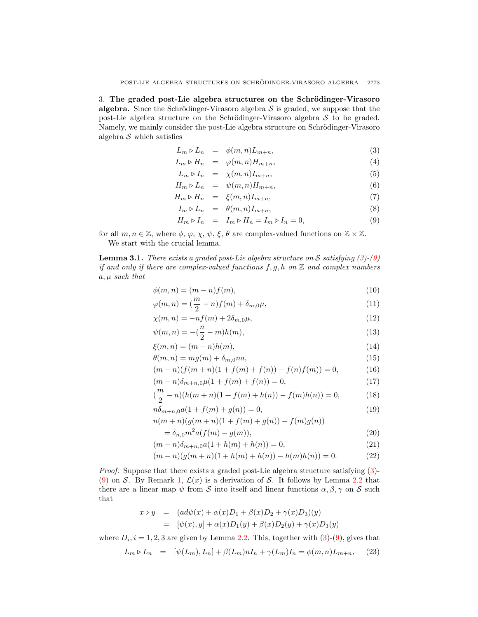3. The graded post-Lie algebra structures on the Schrödinger-Virasoro algebra. Since the Schrödinger-Virasoro algebra  $\mathcal S$  is graded, we suppose that the post-Lie algebra structure on the Schrödinger-Virasoro algebra  $S$  to be graded. Namely, we mainly consider the post-Lie algebra structure on Schrödinger-Virasoro algebra  $S$  which satisfies

<span id="page-2-0"></span>
$$
L_m \triangleright L_n = \phi(m, n)L_{m+n}, \tag{3}
$$

$$
L_m \triangleright H_n = \varphi(m, n) H_{m+n}, \tag{4}
$$

$$
L_m \triangleright I_n = \chi(m, n) I_{m+n}, \tag{5}
$$

$$
H_m \triangleright L_n = \psi(m, n) H_{m+n}, \tag{6}
$$

$$
H_m \triangleright H_n = \xi(m, n) I_{m+n}, \tag{7}
$$

$$
I_m \triangleright L_n = \theta(m, n) I_{m+n}, \tag{8}
$$

$$
H_m \triangleright I_n = I_m \triangleright H_n = I_m \triangleright I_n = 0,\tag{9}
$$

for all  $m, n \in \mathbb{Z}$ , where  $\phi, \varphi, \chi, \psi, \xi, \theta$  are complex-valued functions on  $\mathbb{Z} \times \mathbb{Z}$ . We start with the crucial lemma.

n

<span id="page-2-3"></span>**Lemma 3.1.** There exists a graded post-Lie algebra structure on S satisfying  $(3)-(9)$  $(3)-(9)$  $(3)-(9)$ if and only if there are complex-valued functions  $f, g, h$  on  $\mathbb Z$  and complex numbers  $a, \mu$  such that

<span id="page-2-2"></span>
$$
\phi(m,n) = (m-n)f(m),\tag{10}
$$

$$
\varphi(m,n) = \left(\frac{m}{2} - n\right) f(m) + \delta_{m,0} \mu,\tag{11}
$$

$$
\chi(m,n) = -nf(m) + 2\delta_{m,0}\mu,\tag{12}
$$

$$
\psi(m,n) = -(\frac{n}{2} - m)h(m),\tag{13}
$$

$$
\xi(m,n) = (m-n)h(m),\tag{14}
$$

$$
\theta(m,n) = mg(m) + \delta_{m,0} na,\tag{15}
$$

$$
(m-n)(f(m+n)(1+f(m)+f(n))-f(n)f(m)) = 0,
$$
\n(16)

$$
(m-n)\delta_{m+n,0}\mu(1+f(m)+f(n)) = 0,\t(17)
$$

$$
(\frac{m}{2} - n)(h(m+n)(1 + f(m) + h(n)) - f(m)h(n)) = 0,
$$
\n(18)

$$
n\delta_{m+n,0}a(1+f(m)+g(n))=0,
$$
\n(19)

$$
n(m+n)(g(m+n)(1+f(m)+g(n))-f(m)g(n))\\
$$

$$
= \delta_{n,0} m^2 a(f(m) - g(m)),\tag{20}
$$

$$
(m-n)\delta_{m+n,0}a(1+h(m)+h(n)) = 0,
$$
\n(21)

$$
(m-n)(g(m+n)(1+h(m)+h(n))-h(m)h(n))=0.
$$
 (22)

Proof. Suppose that there exists a graded post-Lie algebra structure satisfying [\(3\)](#page-2-0)- [\(9\)](#page-2-0) on S. By Remark [1,](#page-1-1)  $\mathcal{L}(x)$  is a derivation of S. It follows by Lemma [2.2](#page-1-2) that there are a linear map  $\psi$  from S into itself and linear functions  $\alpha, \beta, \gamma$  on S such that

$$
x \triangleright y = (ad\psi(x) + \alpha(x)D_1 + \beta(x)D_2 + \gamma(x)D_3)(y)
$$
  
= 
$$
[\psi(x), y] + \alpha(x)D_1(y) + \beta(x)D_2(y) + \gamma(x)D_3(y)
$$

where  $D_i$ ,  $i = 1, 2, 3$  are given by Lemma [2.2.](#page-1-2) This, together with  $(3)-(9)$  $(3)-(9)$  $(3)-(9)$ , gives that

<span id="page-2-1"></span>
$$
L_m \triangleright L_n = [\psi(L_m), L_n] + \beta(L_m) n I_n + \gamma(L_m) I_n = \phi(m, n) L_{m+n}, \quad (23)
$$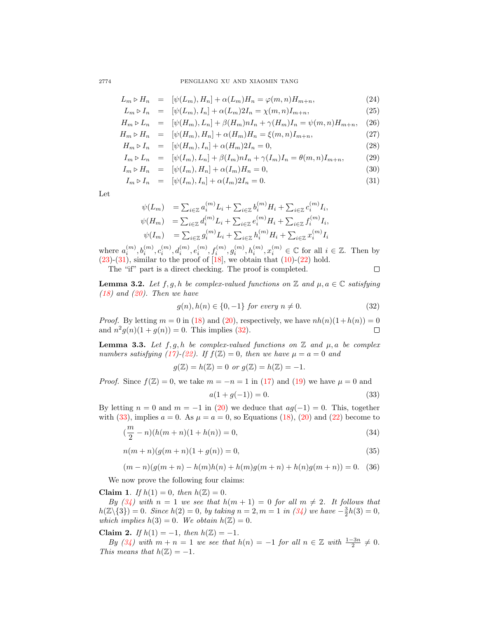2774 PENGLIANG XU AND XIAOMIN TANG

<span id="page-3-0"></span>
$$
L_m \triangleright H_n = [\psi(L_m), H_n] + \alpha(L_m)H_n = \varphi(m, n)H_{m+n}, \qquad (24)
$$

$$
L_m \triangleright I_n = [\psi(L_m), I_n] + \alpha(L_m)2I_n = \chi(m, n)I_{m+n}, \tag{25}
$$

$$
H_m \triangleright L_n = [\psi(H_m), L_n] + \beta(H_m) n I_n + \gamma(H_m) I_n = \psi(m, n) H_{m+n}, \quad (26)
$$

$$
H_m \triangleright H_n = [\psi(H_m), H_n] + \alpha(H_m)H_n = \xi(m, n)I_{m+n}, \tag{27}
$$

$$
H_m \triangleright I_n = [\psi(H_m), I_n] + \alpha(H_m)2I_n = 0,
$$
\n(28)

$$
I_m \triangleright L_n = [\psi(I_m), L_n] + \beta(I_m) n I_n + \gamma(I_m) I_n = \theta(m, n) I_{m+n}, \quad (29)
$$

$$
I_m \triangleright H_n = [\psi(I_m), H_n] + \alpha(I_m)H_n = 0,
$$
\n(30)

$$
I_m \triangleright I_n = [\psi(I_m), I_n] + \alpha(I_m)2I_n = 0.
$$
\n(31)

Let

$$
\begin{array}{ll} \psi(L_m) & = \sum_{i \in \mathbb{Z}} a_i^{(m)} L_i + \sum_{i \in \mathbb{Z}} b_i^{(m)} H_i + \sum_{i \in \mathbb{Z}} c_i^{(m)} I_i, \\ \psi(H_m) & = \sum_{i \in \mathbb{Z}} d_i^{(m)} L_i + \sum_{i \in \mathbb{Z}} e_i^{(m)} H_i + \sum_{i \in \mathbb{Z}} f_i^{(m)} I_i, \\ \psi(I_m) & = \sum_{i \in \mathbb{Z}} g_i^{(m)} L_i + \sum_{i \in \mathbb{Z}} h_i^{(m)} H_i + \sum_{i \in \mathbb{Z}} x_i^{(m)} I_i \end{array}
$$

where  $a_i^{(m)}, b_i^{(m)}, c_i^{(m)}, d_i^{(m)}, e_i^{(m)}, f_i^{(m)}, g_i^{(m)}, h_i^{(m)}, x_i^{(m)} \in \mathbb{C}$  for all  $i \in \mathbb{Z}$ . Then by  $(23)-(31)$  $(23)-(31)$  $(23)-(31)$ , similar to the proof of  $[18]$ , we obtain that  $(10)-(22)$  $(10)-(22)$  $(10)-(22)$  hold.  $\Box$ 

The "if" part is a direct checking. The proof is completed.

**Lemma 3.2.** Let  $f, g, h$  be complex-valued functions on  $\mathbb{Z}$  and  $\mu, a \in \mathbb{C}$  satisfying  $(18)$  and  $(20)$ . Then we have

<span id="page-3-1"></span>
$$
g(n), h(n) \in \{0, -1\} \text{ for every } n \neq 0. \tag{32}
$$

*Proof.* By letting  $m = 0$  in [\(18\)](#page-2-2) and [\(20\)](#page-2-2), respectively, we have  $nh(n)(1 + h(n)) = 0$ and  $n^2 g(n)(1 + g(n)) = 0$ . This implies [\(32\)](#page-3-1).  $\Box$ 

<span id="page-3-4"></span>**Lemma 3.3.** Let  $f, g, h$  be complex-valued functions on  $\mathbb{Z}$  and  $\mu, a$  be complex numbers satisfying [\(17\)](#page-2-2)-[\(22\)](#page-2-2). If  $f(\mathbb{Z}) = 0$ , then we have  $\mu = a = 0$  and

$$
g(\mathbb{Z}) = h(\mathbb{Z}) = 0 \text{ or } g(\mathbb{Z}) = h(\mathbb{Z}) = -1.
$$

*Proof.* Since  $f(\mathbb{Z}) = 0$ , we take  $m = -n = 1$  in [\(17\)](#page-2-2) and [\(19\)](#page-2-2) we have  $\mu = 0$  and

<span id="page-3-2"></span>
$$
a(1 + g(-1)) = 0.\t\t(33)
$$

By letting  $n = 0$  and  $m = -1$  in [\(20\)](#page-2-2) we deduce that  $aq(-1) = 0$ . This, together with [\(33\)](#page-3-2), implies  $a = 0$ . As  $\mu = a = 0$ , so Equations [\(18\)](#page-2-2), [\(20\)](#page-2-2) and [\(22\)](#page-2-2) become to

<span id="page-3-3"></span>
$$
(\frac{m}{2} - n)(h(m+n)(1+h(n))) = 0,
$$
\n(34)

$$
n(m+n)(g(m+n)(1+g(n)) = 0,
$$
\n(35)

$$
(m-n)(g(m+n) - h(m)h(n) + h(m)g(m+n) + h(n)g(m+n)) = 0.
$$
 (36)

We now prove the following four claims:

Claim 1. If  $h(1) = 0$ , then  $h(\mathbb{Z}) = 0$ .

By  $(34)$  with  $n = 1$  we see that  $h(m + 1) = 0$  for all  $m \neq 2$ . It follows that  $h(\mathbb{Z}\setminus\{3\})=0$ . Since  $h(2)=0$ , by taking  $n=2, m=1$  in  $(34)$  we have  $-\frac{3}{2}h(3)=0$ , which implies  $h(3) = 0$ . We obtain  $h(\mathbb{Z}) = 0$ .

Claim 2. If  $h(1) = -1$ , then  $h(\mathbb{Z}) = -1$ .

By  $(34)$  with  $m + n = 1$  we see that  $h(n) = -1$  for all  $n \in \mathbb{Z}$  with  $\frac{1-3n}{2} \neq 0$ . This means that  $h(\mathbb{Z}) = -1$ .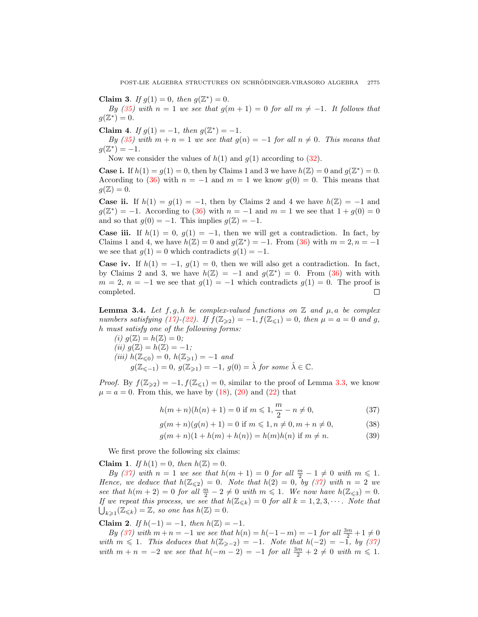Claim 3. If  $g(1) = 0$ , then  $g(\mathbb{Z}^*) = 0$ .

By [\(35\)](#page-3-3) with  $n = 1$  we see that  $g(m + 1) = 0$  for all  $m \neq -1$ . It follows that  $g(\mathbb{Z}^*)=0.$ 

Claim 4. If  $g(1) = -1$ , then  $g(\mathbb{Z}^*) = -1$ .

By [\(35\)](#page-3-3) with  $m + n = 1$  we see that  $g(n) = -1$  for all  $n \neq 0$ . This means that  $g(\mathbb{Z}^*)=-1.$ 

Now we consider the values of  $h(1)$  and  $g(1)$  according to [\(32\)](#page-3-1).

**Case i.** If  $h(1) = g(1) = 0$ , then by Claims 1 and 3 we have  $h(\mathbb{Z}) = 0$  and  $g(\mathbb{Z}^*) = 0$ . According to [\(36\)](#page-3-3) with  $n = -1$  and  $m = 1$  we know  $g(0) = 0$ . This means that  $q(\mathbb{Z})=0.$ 

**Case ii.** If  $h(1) = g(1) = -1$ , then by Claims 2 and 4 we have  $h(\mathbb{Z}) = -1$  and  $g(\mathbb{Z}^*) = -1$ . According to [\(36\)](#page-3-3) with  $n = -1$  and  $m = 1$  we see that  $1 + g(0) = 0$ and so that  $g(0) = -1$ . This implies  $g(\mathbb{Z}) = -1$ .

**Case iii.** If  $h(1) = 0$ ,  $g(1) = -1$ , then we will get a contradiction. In fact, by Claims 1 and 4, we have  $h(\mathbb{Z}) = 0$  and  $g(\mathbb{Z}^*) = -1$ . From [\(36\)](#page-3-3) with  $m = 2, n = -1$ we see that  $g(1) = 0$  which contradicts  $g(1) = -1$ .

**Case iv.** If  $h(1) = -1$ ,  $g(1) = 0$ , then we will also get a contradiction. In fact, by Claims 2 and 3, we have  $h(\mathbb{Z}) = -1$  and  $g(\mathbb{Z}^*) = 0$ . From [\(36\)](#page-3-3) with with  $m = 2$ ,  $n = -1$  we see that  $g(1) = -1$  which contradicts  $g(1) = 0$ . The proof is completed. П

<span id="page-4-1"></span>**Lemma 3.4.** Let  $f, g, h$  be complex-valued functions on  $\mathbb{Z}$  and  $\mu, a$  be complex numbers satisfying [\(17\)](#page-2-2)-[\(22\)](#page-2-2). If  $f(\mathbb{Z}_{\geq 2}) = -1$ ,  $f(\mathbb{Z}_{\leq 1}) = 0$ , then  $\mu = a = 0$  and g, h must satisfy one of the following forms:

(i) 
$$
g(\mathbb{Z}) = h(\mathbb{Z}) = 0
$$
;  
\n(ii)  $g(\mathbb{Z}) = h(\mathbb{Z}) = -1$ ;  
\n(iii)  $h(\mathbb{Z}_{\le 0}) = 0$ ,  $h(\mathbb{Z}_{\ge 1}) = -1$  and  
\n $g(\mathbb{Z}_{\le -1}) = 0$ ,  $g(\mathbb{Z}_{\ge 1}) = -1$ ,  $g(0) = \hat{\lambda}$  for some  $\hat{\lambda} \in \mathbb{C}$ .

*Proof.* By  $f(\mathbb{Z}_{\geq 2}) = -1$ ,  $f(\mathbb{Z}_{\leq 1}) = 0$ , similar to the proof of Lemma [3.3,](#page-3-4) we know  $\mu = a = 0$ . From this, we have by [\(18\)](#page-2-2), [\(20\)](#page-2-2) and [\(22\)](#page-2-2) that

<span id="page-4-0"></span>
$$
h(m+n)(h(n)+1) = 0 \text{ if } m \leq 1, \frac{m}{2} - n \neq 0,
$$
\n(37)

$$
g(m+n)(g(n)+1) = 0 \text{ if } m \leq 1, n \neq 0, m+n \neq 0,
$$
 (38)

$$
g(m+n)(1+h(m)+h(n)) = h(m)h(n) \text{ if } m \neq n. \tag{39}
$$

We first prove the following six claims:

Claim 1. If  $h(1) = 0$ , then  $h(\mathbb{Z}) = 0$ .

By [\(37\)](#page-4-0) with  $n = 1$  we see that  $h(m + 1) = 0$  for all  $\frac{m}{2} - 1 \neq 0$  with  $m \leq 1$ . Hence, we deduce that  $h(\mathbb{Z}_{\leq 2}) = 0$ . Note that  $h(2) = 0$ , by [\(37\)](#page-4-0) with  $n = 2$  we see that  $h(m+2) = 0$  for all  $\frac{m}{2} - 2 \neq 0$  with  $m \leq 1$ . We now have  $h(\mathbb{Z}_{\leq 3}) = 0$ . If we repeat this process, we see that  $h(\mathbb{Z}_{\leq k}) = 0$  for all  $k = 1, 2, 3, \cdots$ . Note that  $\bigcup_{k\geqslant 1} (\mathbb{Z}_{\leqslant k}) = \mathbb{Z}$ , so one has  $h(\mathbb{Z}) = 0$ .

Claim 2. If  $h(-1) = -1$ , then  $h(\mathbb{Z}) = -1$ .

By [\(37\)](#page-4-0) with  $m + n = -1$  we see that  $h(n) = h(-1 - m) = -1$  for all  $\frac{3m}{2} + 1 \neq 0$ with  $m \leq 1$ . This deduces that  $h(\mathbb{Z}_{\geq -2}) = -1$ . Note that  $h(-2) = -1$ , by [\(37\)](#page-4-0) with  $m + n = -2$  we see that  $h(-m - 2) = -1$  for all  $\frac{3m}{2} + 2 \neq 0$  with  $m \leq 1$ .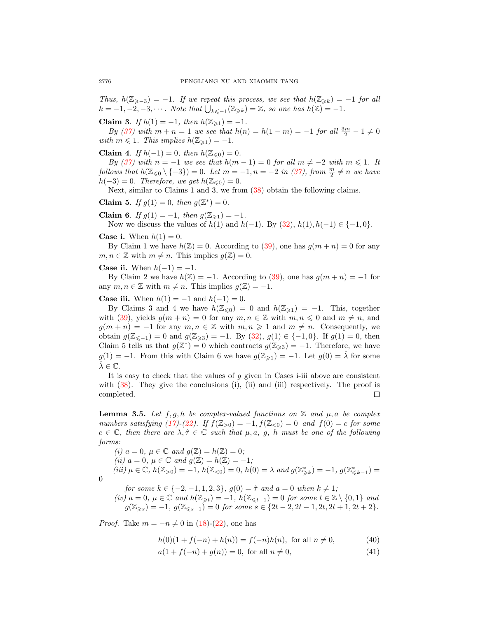Thus,  $h(\mathbb{Z}_{\geq -3}) = -1$ . If we repeat this process, we see that  $h(\mathbb{Z}_{\geq k}) = -1$  for all  $k = -1, -2, -3, \cdots$ . Note that  $\bigcup_{k \leq -1} (\mathbb{Z}_{\geq k}) = \mathbb{Z}$ , so one has  $h(\mathbb{Z}) = -1$ .

Claim 3. If  $h(1) = -1$ , then  $h(\mathbb{Z}_{\geq 1}) = -1$ .

By [\(37\)](#page-4-0) with  $m + n = 1$  we see that  $h(n) = h(1 - m) = -1$  for all  $\frac{3m}{2} - 1 \neq 0$ with  $m \leq 1$ . This implies  $h(\mathbb{Z}_{\geq 1}) = -1$ .

Claim 4. If  $h(-1) = 0$ , then  $h(\mathbb{Z}_{\leq 0}) = 0$ .

By [\(37\)](#page-4-0) with  $n = -1$  we see that  $h(m - 1) = 0$  for all  $m \neq -2$  with  $m \leq 1$ . It follows that  $h(\mathbb{Z}_{\leq 0} \setminus \{-3\}) = 0$ . Let  $m = -1, n = -2$  in [\(37\)](#page-4-0), from  $\frac{m}{2} \neq n$  we have  $h(-3) = 0$ . Therefore, we get  $h(\mathbb{Z}_{\leq 0}) = 0$ .

Next, similar to Claims 1 and 3, we from  $(38)$  obtain the following claims.

Claim 5. If  $g(1) = 0$ , then  $g(\mathbb{Z}^*) = 0$ .

Claim 6. If  $g(1) = -1$ , then  $g(\mathbb{Z}_{\geq 1}) = -1$ . Now we discuss the values of  $h(1)$  and  $h(-1)$ . By  $(32)$ ,  $h(1)$ ,  $h(-1) \in \{-1, 0\}$ .

**Case i.** When  $h(1) = 0$ .

By Claim 1 we have  $h(\mathbb{Z}) = 0$ . According to [\(39\)](#page-4-0), one has  $g(m+n) = 0$  for any  $m, n \in \mathbb{Z}$  with  $m \neq n$ . This implies  $g(\mathbb{Z}) = 0$ .

**Case ii.** When  $h(-1) = -1$ .

By Claim 2 we have  $h(\mathbb{Z}) = -1$ . According to [\(39\)](#page-4-0), one has  $g(m+n) = -1$  for any  $m, n \in \mathbb{Z}$  with  $m \neq n$ . This implies  $g(\mathbb{Z}) = -1$ .

**Case iii.** When  $h(1) = -1$  and  $h(-1) = 0$ .

By Claims 3 and 4 we have  $h(\mathbb{Z}_{\leq 0}) = 0$  and  $h(\mathbb{Z}_{\geq 1}) = -1$ . This, together with [\(39\)](#page-4-0), yields  $g(m + n) = 0$  for any  $m, n \in \mathbb{Z}$  with  $m, n \leq 0$  and  $m \neq n$ , and  $g(m + n) = -1$  for any  $m, n \in \mathbb{Z}$  with  $m, n \geq 1$  and  $m \neq n$ . Consequently, we obtain  $g(\mathbb{Z}_{\leq -1}) = 0$  and  $g(\mathbb{Z}_{\geq 3}) = -1$ . By  $(32), g(1) \in \{-1,0\}$  $(32), g(1) \in \{-1,0\}$ . If  $g(1) = 0$ , then Claim 5 tells us that  $g(\mathbb{Z}^*) = 0$  which contracts  $g(\mathbb{Z}_{\geq 3}) = -1$ . Therefore, we have  $g(1) = -1$ . From this with Claim 6 we have  $g(\mathbb{Z}_{\geq 1}) = -1$ . Let  $g(0) = \lambda$  for some  $\lambda \in \mathbb{C}$ .

It is easy to check that the values of  $g$  given in Cases i-iii above are consistent with  $(38)$ . They give the conclusions  $(i)$ ,  $(ii)$  and  $(iii)$  respectively. The proof is completed.  $\Box$ 

<span id="page-5-1"></span>**Lemma 3.5.** Let  $f, g, h$  be complex-valued functions on  $\mathbb{Z}$  and  $\mu, a$  be complex numbers satisfying [\(17\)](#page-2-2)-[\(22\)](#page-2-2). If  $f(\mathbb{Z}_{>0}) = -1$ ,  $f(\mathbb{Z}_{<0}) = 0$  and  $f(0) = c$  for some  $c \in \mathbb{C}$ , then there are  $\lambda, \hat{\tau} \in \mathbb{C}$  such that  $\mu, a, g, h$  must be one of the following forms:

(i)  $a = 0, \mu \in \mathbb{C}$  and  $g(\mathbb{Z}) = h(\mathbb{Z}) = 0;$ (ii)  $a = 0, \mu \in \mathbb{C}$  and  $g(\mathbb{Z}) = h(\mathbb{Z}) = -1;$ (iii)  $\mu \in \mathbb{C}$ ,  $h(\mathbb{Z}_{>0}) = -1$ ,  $h(\mathbb{Z}_{<0}) = 0$ ,  $h(0) = \lambda$  and  $g(\mathbb{Z}_{\geq k}^*) = -1$ ,  $g(\mathbb{Z}_{\leq k-1}^*) =$ 0

for some  $k \in \{-2, -1, 1, 2, 3\}$ ,  $g(0) = \hat{\tau}$  and  $a = 0$  when  $k \neq 1$ ;

$$
\begin{array}{l}\n(iv) \ a = 0, \ \mu \in \mathbb{C} \ and \ h(\mathbb{Z}_{\geq t}) = -1, \ h(\mathbb{Z}_{\leq t-1}) = 0 \ for \ some \ t \in \mathbb{Z} \setminus \{0,1\} \ and \ g(\mathbb{Z}_{\geq s}) = -1, \ g(\mathbb{Z}_{\leq s-1}) = 0 \ for \ some \ s \in \{2t-2, 2t-1, 2t, 2t+1, 2t+2\}.\n\end{array}
$$

*Proof.* Take  $m = -n \neq 0$  in [\(18\)](#page-2-2)-[\(22\)](#page-2-2), one has

<span id="page-5-0"></span>
$$
h(0)(1 + f(-n) + h(n)) = f(-n)h(n), \text{ for all } n \neq 0,
$$
 (40)

$$
a(1 + f(-n) + g(n)) = 0, \text{ for all } n \neq 0,
$$
\n(41)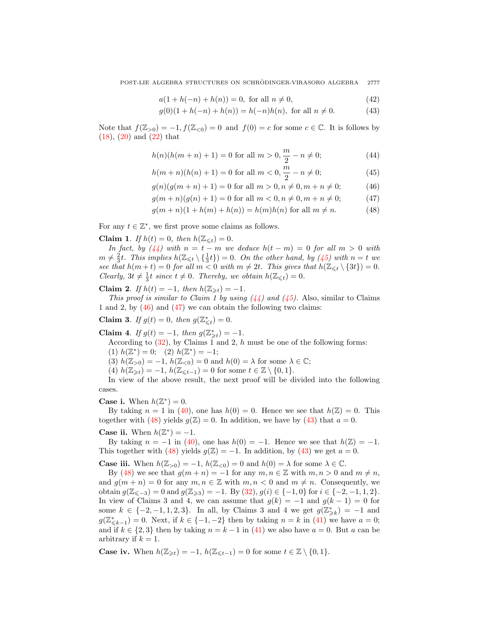POST-LIE ALGEBRA STRUCTURES ON SCHRÖDINGER-VIRASORO ALGEBRA 2777

<span id="page-6-1"></span>
$$
a(1 + h(-n) + h(n)) = 0, \text{ for all } n \neq 0,
$$
\n(42)

$$
g(0)(1 + h(-n) + h(n)) = h(-n)h(n), \text{ for all } n \neq 0.
$$
 (43)

Note that  $f(\mathbb{Z}_{>0}) = -1$ ,  $f(\mathbb{Z}_{<0}) = 0$  and  $f(0) = c$  for some  $c \in \mathbb{C}$ . It is follows by [\(18\)](#page-2-2), [\(20\)](#page-2-2) and [\(22\)](#page-2-2) that

<span id="page-6-0"></span>
$$
h(n)(h(m+n)+1) = 0 \text{ for all } m > 0, \frac{m}{2} - n \neq 0;
$$
 (44)

$$
h(m+n)(h(n)+1) = 0 \text{ for all } m < 0, \frac{m}{2} - n \neq 0;
$$
 (45)

$$
g(n)(g(m+n)+1) = 0 \text{ for all } m > 0, n \neq 0, m+n \neq 0;
$$
 (46)

$$
g(m+n)(g(n)+1) = 0 \text{ for all } m < 0, n \neq 0, m+n \neq 0;
$$
 (47)

$$
g(m+n)(1+h(m)+h(n)) = h(m)h(n) \text{ for all } m \neq n. \tag{48}
$$

For any  $t \in \mathbb{Z}^*$ , we first prove some claims as follows.

Claim 1. If  $h(t) = 0$ , then  $h(\mathbb{Z}_{\leq t}) = 0$ .

In fact, by  $(44)$  with  $n = t - m$  we deduce  $h(t - m) = 0$  for all  $m > 0$  with  $m \neq \frac{2}{3}t$ . This implies  $h(\mathbb{Z}_{\leq t} \setminus {\frac{1}{3}t}) = 0$ . On the other hand, by [\(45\)](#page-6-0) with  $n = t$  we see that  $h(m+t) = 0$  for all  $m < 0$  with  $m \neq 2t$ . This gives that  $h(\mathbb{Z}_{\leq t} \setminus \{3t\}) = 0$ . Clearly,  $3t \neq \frac{1}{3}t$  since  $t \neq 0$ . Thereby, we obtain  $h(\mathbb{Z}_{\leq t}) = 0$ .

## Claim 2. If  $h(t) = -1$ , then  $h(\mathbb{Z}_{\geq t}) = -1$ .

This proof is similar to Claim 1 by using  $(44)$  and  $(45)$ . Also, similar to Claims 1 and 2, by [\(46\)](#page-6-0) and [\(47\)](#page-6-0) we can obtain the following two claims:

Claim 3. If  $g(t) = 0$ , then  $g(\mathbb{Z}_{\leq t}^*) = 0$ .

Claim 4. If  $g(t) = -1$ , then  $g(\mathbb{Z}_{\geq t}^*) = -1$ .

According to  $(32)$ , by Claims 1 and 2, h must be one of the following forms: (1)  $h(\mathbb{Z}^*) = 0$ ; (2)  $h(\mathbb{Z}^*) = -1$ ;

(3)  $h(\mathbb{Z}_{>0}) = -1$ ,  $h(\mathbb{Z}_{<0}) = 0$  and  $h(0) = \lambda$  for some  $\lambda \in \mathbb{C}$ ;

(4)  $h(\mathbb{Z}_{\geq t}) = -1$ ,  $h(\mathbb{Z}_{\leq t-1}) = 0$  for some  $t \in \mathbb{Z} \setminus \{0, 1\}.$ 

In view of the above result, the next proof will be divided into the following cases.

**Case i.** When  $h(\mathbb{Z}^*)=0$ .

By taking  $n = 1$  in [\(40\)](#page-5-0), one has  $h(0) = 0$ . Hence we see that  $h(\mathbb{Z}) = 0$ . This together with [\(48\)](#page-6-0) yields  $g(\mathbb{Z}) = 0$ . In addition, we have by [\(43\)](#page-6-1) that  $a = 0$ .

## **Case ii.** When  $h(\mathbb{Z}^*) = -1$ .

By taking  $n = -1$  in [\(40\)](#page-5-0), one has  $h(0) = -1$ . Hence we see that  $h(\mathbb{Z}) = -1$ . This together with [\(48\)](#page-6-0) yields  $g(\mathbb{Z}) = -1$ . In addition, by [\(43\)](#page-6-1) we get  $a = 0$ .

**Case iii.** When  $h(\mathbb{Z}_{>0}) = -1$ ,  $h(\mathbb{Z}_{<0}) = 0$  and  $h(0) = \lambda$  for some  $\lambda \in \mathbb{C}$ .

By [\(48\)](#page-6-0) we see that  $g(m+n) = -1$  for any  $m, n \in \mathbb{Z}$  with  $m, n > 0$  and  $m \neq n$ , and  $g(m + n) = 0$  for any  $m, n \in \mathbb{Z}$  with  $m, n < 0$  and  $m \neq n$ . Consequently, we obtain  $g(\mathbb{Z}_{\leq -3}) = 0$  and  $g(\mathbb{Z}_{\geq 3}) = -1$ . By  $(32), g(i) \in \{-1, 0\}$  $(32), g(i) \in \{-1, 0\}$  for  $i \in \{-2, -1, 1, 2\}$ . In view of Claims 3 and 4, we can assume that  $g(k) = -1$  and  $g(k-1) = 0$  for some  $k \in \{-2, -1, 1, 2, 3\}$ . In all, by Claims 3 and 4 we get  $g(\mathbb{Z}_{\geq k}^*) = -1$  and  $g(\mathbb{Z}_{\leq k-1}^*) = 0$ . Next, if  $k \in \{-1, -2\}$  then by taking  $n = k$  in [\(41\)](#page-5-0) we have  $a = 0$ ; and if  $k \in \{2,3\}$  then by taking  $n = k - 1$  in [\(41\)](#page-5-0) we also have  $a = 0$ . But a can be arbitrary if  $k = 1$ .

**Case iv.** When  $h(\mathbb{Z}_{\geq t}) = -1$ ,  $h(\mathbb{Z}_{\leq t-1}) = 0$  for some  $t \in \mathbb{Z} \setminus \{0, 1\}$ .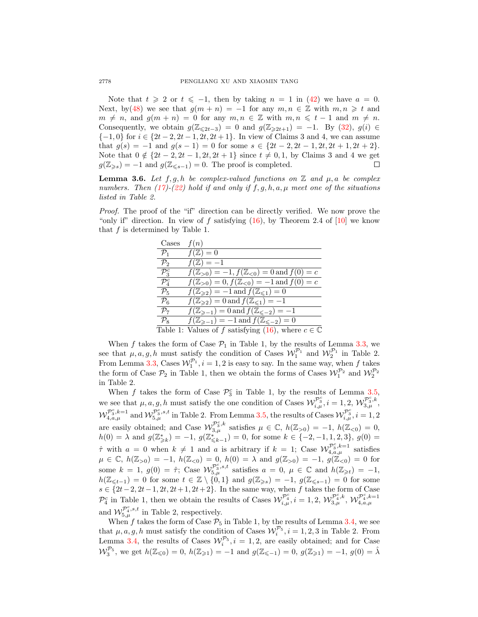Note that  $t \geq 2$  or  $t \leq -1$ , then by taking  $n = 1$  in [\(42\)](#page-6-1) we have  $a = 0$ . Next, by[\(48\)](#page-6-0) we see that  $g(m + n) = -1$  for any  $m, n \in \mathbb{Z}$  with  $m, n \geq t$  and  $m \neq n$ , and  $g(m + n) = 0$  for any  $m, n \in \mathbb{Z}$  with  $m, n \leq t - 1$  and  $m \neq n$ . Consequently, we obtain  $g(\mathbb{Z}_{\leq 2t-3}) = 0$  and  $g(\mathbb{Z}_{\geq 2t+1}) = -1$ . By [\(32\)](#page-3-1),  $g(i) \in$  $\{-1, 0\}$  for  $i \in \{2t - 2, 2t - 1, 2t, 2t + 1\}$ . In view of Claims 3 and 4, we can assume that  $g(s) = -1$  and  $g(s - 1) = 0$  for some  $s \in \{2t - 2, 2t - 1, 2t, 2t + 1, 2t + 2\}.$ Note that 0 ∉ { $2t - 2$ ,  $2t - 1$ ,  $2t$ ,  $2t + 1$ } since  $t \neq 0, 1$ , by Claims 3 and 4 we get  $g(\mathbb{Z}_{\geqslant s}) = -1$  and  $g(\mathbb{Z}_{\leqslant s-1}) = 0$ . The proof is completed. □

<span id="page-7-0"></span>**Lemma 3.6.** Let  $f, g, h$  be complex-valued functions on  $\mathbb{Z}$  and  $\mu, a$  be complex numbers. Then  $(17)-(22)$  $(17)-(22)$  $(17)-(22)$  hold if and only if  $f, g, h, a, \mu$  meet one of the situations listed in Table 2.

Proof. The proof of the "if" direction can be directly verified. We now prove the "only if" direction. In view of f satisfying  $(16)$ , by Theorem 2.4 of  $[10]$  we know that  $f$  is determined by Table 1.

| Cases             | f(n)                                                               |
|-------------------|--------------------------------------------------------------------|
| $\mathcal{P}_1$   | $f(\mathbb{Z})=0$                                                  |
| $\mathcal{P}_2$   | $f(\mathbb{Z})=-1$                                                 |
| $\mathcal{P}_3^c$ | $f(\mathbb{Z}_{>0}) = -1, f(\mathbb{Z}_{<0}) = 0$ and $f(0) = c$   |
| $\mathcal{P}_4^c$ | $f(\mathbb{Z}_{>0})=0, f(\mathbb{Z}_{<0})=-1$ and $f(0)=c$         |
| $\mathcal{P}_5$   | $f(\mathbb{Z}_{\geqslant2})=-1$ and $f(\mathbb{Z}_{\leqslant1})=0$ |
| $\mathcal{P}_6$   | $f(\mathbb{Z}_{\geqslant2})=0$ and $f(\mathbb{Z}_{\leqslant1})=-1$ |
| $\mathcal{P}_7$   | $f(\mathbb{Z}_{\ge-1})=0$ and $f(\mathbb{Z}_{\le-2})=-1$           |
| $\mathcal{P}_8$   | $f(\mathbb{Z}_{\ge-1})=-1$ and $f(\mathbb{Z}_{\le-2})=0$           |
|                   | Table 1: Values of f satisfying (16), where $c \in \mathbb{C}$     |

When f takes the form of Case  $P_1$  in Table 1, by the results of Lemma [3.3,](#page-3-4) we see that  $\mu$ , a, g, h must satisfy the condition of Cases  $\mathcal{W}_1^{\mathcal{P}_1}$  and  $\mathcal{W}_2^{\mathcal{P}_1}$  in Table 2. From Lemma [3.3,](#page-3-4) Cases  $\mathcal{W}_1^{\mathcal{P}_1}$ ,  $i = 1, 2$  is easy to say. In the same way, when f takes the form of Case  $\mathcal{P}_2$  in Table 1, then we obtain the forms of Cases  $\mathcal{W}_1^{\mathcal{P}_2}$  and  $\mathcal{W}_2^{\mathcal{P}_2}$ in Table 2.

When f takes the form of Case  $\mathcal{P}_3^c$  in Table 1, by the results of Lemma [3.5,](#page-5-1) we see that  $\mu$ , a, g, h must satisfy the one condition of Cases  $\mathcal{W}^{\mathcal{P}^c_3}_{i,\mu}$ ,  $i = 1, 2, \mathcal{W}^{\mathcal{P}^c_3, k}_{3,\mu}$ ,  $\mathcal{W}_{4,a,\mu}^{\mathcal{P}_3^c,k=1}$  and  $\mathcal{W}_{5,\mu}^{\mathcal{P}_3^c,s,t}$  in Table 2. From Lemma [3.5,](#page-5-1) the results of Cases  $\mathcal{W}_{i,\mu}^{\mathcal{P}_3^c}, i=1,2$ are easily obtained; and Case  $\mathcal{W}_{3,\mu}^{\mathcal{P}_3^c,k}$  satisfies  $\mu \in \mathbb{C}$ ,  $h(\mathbb{Z}_{>0}) = -1$ ,  $h(\mathbb{Z}_{<0}) = 0$ ,  $h(0) = \lambda$  and  $g(\mathbb{Z}_{\geq k}^*) = -1$ ,  $g(\mathbb{Z}_{\leq k-1}^*) = 0$ , for some  $k \in \{-2, -1, 1, 2, 3\}$ ,  $g(0) =$  $\hat{\tau}$  with  $a = 0$  when  $k \neq 1$  and a is arbitrary if  $k = 1$ ; Case  $\mathcal{W}_{4,a,\mu}^{\mathcal{P}_3^c,k=1}$  satisfies  $\mu \in \mathbb{C}, h(\mathbb{Z}_{>0}) = -1, h(\mathbb{Z}_{<0}) = 0, h(0) = \lambda \text{ and } g(\mathbb{Z}_{>0}) = -1, g(\mathbb{Z}_{<0}) = 0 \text{ for }$ some  $k = 1$ ,  $g(0) = \hat{\tau}$ ; Case  $\mathcal{W}_{5,\mu}^{\mathcal{P}_3^c,s,t}$  satisfies  $a = 0$ ,  $\mu \in \mathbb{C}$  and  $h(\mathbb{Z}_{\geq t}) = -1$ ,  $h(\mathbb{Z}_{\leq t-1}) = 0$  for some  $t \in \mathbb{Z} \setminus \{0,1\}$  and  $g(\mathbb{Z}_{\geq s}) = -1$ ,  $g(\mathbb{Z}_{\leq s-1}) = 0$  for some  $s \in \{2t-2, 2t-1, 2t, 2t+1, 2t+2\}$ . In the same way, when f takes the form of Case  $\mathcal{P}_4^c$  in Table 1, then we obtain the results of Cases  $\mathcal{W}_{i,\mu}^{\mathcal{P}_4^c}$ ,  $i = 1, 2, \mathcal{W}_{3,\mu}^{\mathcal{P}_4^c,k}, \mathcal{W}_{4,a,\mu}^{\mathcal{P}_4^c,k=1}$  $_{4,a,\mu}$ and  $\mathcal{W}_{5,\mu}^{\mathcal{P}_4^c,s,t}$  in Table 2, respectively.

When f takes the form of Case  $\mathcal{P}_5$  in Table 1, by the results of Lemma [3.4,](#page-4-1) we see that  $\mu, a, g, h$  must satisfy the condition of Cases  $\mathcal{W}_i^{\mathcal{P}_5}$ ,  $i = 1, 2, 3$  in Table 2. From Lemma [3.4,](#page-4-1) the results of Cases  $\mathcal{W}_i^{\mathcal{P}_5}$ ,  $i = 1, 2$ , are easily obtained; and for Case  $\mathcal{W}_3^{\mathcal{P}_5}$ , we get  $h(\mathbb{Z}_{\leq 0}) = 0$ ,  $h(\mathbb{Z}_{\geq 1}) = -1$  and  $g(\mathbb{Z}_{\leq -1}) = 0$ ,  $g(\mathbb{Z}_{\geq 1}) = -1$ ,  $g(0) = \lambda$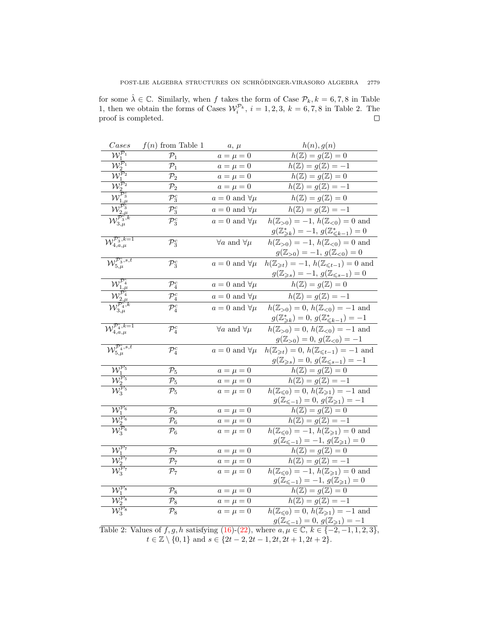for some  $\hat{\lambda} \in \mathbb{C}$ . Similarly, when f takes the form of Case  $\mathcal{P}_k, k = 6, 7, 8$  in Table 1, then we obtain the forms of Cases  $\mathcal{W}_i^{\mathcal{P}_k}$ ,  $i = 1, 2, 3, k = 6, 7, 8$  in Table 2. The proof is completed.  $\Box$ 

| $\it{Cases}$                                                                                    | $f(n)$ from Table 1 | $a, \mu$                      | h(n), g(n)                                                                                                   |
|-------------------------------------------------------------------------------------------------|---------------------|-------------------------------|--------------------------------------------------------------------------------------------------------------|
| $\mathcal{W}^{\mathcal{P}_1}_1$                                                                 | $\mathcal{P}_1$     | $a=\mu=0$                     | $h(\mathbb{Z}) = g(\mathbb{Z}) = 0$                                                                          |
| $\mathcal{W}^{\mathcal{P}_1}_2$                                                                 | $\mathcal{P}_1$     | $a=\mu=0$                     | $h(\mathbb{Z})=g(\mathbb{Z})=-1$                                                                             |
| $W_1^{\overline{p}_2}$                                                                          | $\mathcal{P}_2$     | $a=\mu=0$                     | $h(\mathbb{Z}) = g(\mathbb{Z}) = 0$                                                                          |
| $\widetilde{\mathcal{W}^{\mathcal{P}_2}_2}$                                                     | $\mathcal{P}_2$     | $a=\mu=0$                     | $h(\mathbb{Z})=g(\mathbb{Z})=-1$                                                                             |
| $\overline{\mathcal{W}^{\mathcal{P}_3^c}_{1,\mu}}$                                              | $\mathcal{P}_3^c$   | $a = 0$ and $\forall \mu$     | $h(\mathbb{Z}) = g(\mathbb{Z}) = 0$                                                                          |
| $\overline{\mathcal{W}^{\mathcal{P}_3^c}_{2.\mu}}$                                              | $\mathcal{P}_3^c$   | $a = 0$ and $\forall \mu$     | $h(\mathbb{Z})=g(\mathbb{Z})=-1$                                                                             |
| $\overline{\mathcal{W}_{3,\mu}^{\mathcal{P}_3^{\mathcal{C}},k}}$                                | $\mathcal{P}_3^c$   | $a = 0$ and $\forall \mu$     | $h(\mathbb{Z}_{>0}) = -1, h(\mathbb{Z}_{<0}) = 0$ and                                                        |
|                                                                                                 |                     |                               | $g(\mathbb{Z}_{\geq k}^*) = -1, g(\mathbb{Z}_{\leq k-1}^*) = 0$                                              |
| $\mathcal{W}_{4,a,\mu}^{\mathcal{P}_3^c,k=1}$                                                   | $\mathcal{P}_3^c$   | $\forall a$ and $\forall \mu$ | $h(\mathbb{Z}_{>0}) = -1, h(\mathbb{Z}_{<0}) = 0$ and                                                        |
|                                                                                                 |                     |                               | $g(\mathbb{Z}_{>0})=-1, g(\mathbb{Z}_{<0})=0$                                                                |
| $\overline{\mathcal{W}_{5,\mu}^{\mathcal{P}_3^c,s,t}}$                                          | $\mathcal{P}_3^c$   | $a = 0$ and $\forall \mu$     | $h(\mathbb{Z}_{\geqslant t})=-1, h(\mathbb{Z}_{\leqslant t-1})=0$ and                                        |
|                                                                                                 |                     |                               | $g(\mathbb{Z}_{\geqslant s}) = -1, g(\mathbb{Z}_{\leqslant s-1}) = 0$                                        |
| $\mathcal{W}^{\mathcal{P}^c_4}_1$                                                               | $\mathcal{P}_4^c$   | $a = 0$ and $\forall \mu$     | $h(\mathbb{Z}) = g(\mathbb{Z}) = 0$                                                                          |
| $\mathcal{W}_{2,\mu}^{\mathcal{P}_4^c}$                                                         | $\mathcal{P}_4^c$   | $a = 0$ and $\forall \mu$     | $h(\mathbb{Z})=g(\mathbb{Z})=-1$                                                                             |
| $\overline{\mathcal{W}^{\mathcal{P}_4^c,k}_{3,\mu}}$                                            | $\mathcal{P}_4^c$   | $a = 0$ and $\forall \mu$     | $h(\mathbb{Z}_{>0})=0, h(\mathbb{Z}_{<0})=-1$ and                                                            |
|                                                                                                 |                     |                               | $g(\mathbb{Z}_{\geq k}^*)=0, g(\mathbb{Z}_{\leq k-1}^*)=-1$                                                  |
| $\overline{\mathcal{W}_{4,a,\mu}^{\mathcal{P}_4^c,k=1}}$                                        | $\mathcal{P}_4^c$   | $\forall a$ and $\forall \mu$ | $h(\mathbb{Z}_{>0})=0, h(\mathbb{Z}_{<0})=-1$ and                                                            |
|                                                                                                 |                     |                               | $g(\mathbb{Z}_{>0})=0, g(\mathbb{Z}_{<0})=-1$                                                                |
| $\mathcal{W}_{5,\mu}^{\mathcal{P}_4^c,s,t}$                                                     | $\mathcal{P}_4^c$   | $a = 0$ and $\forall \mu$     | $h(\mathbb{Z}_{\geq t}) = 0, h(\mathbb{Z}_{\leq t-1}) = -1$ and                                              |
|                                                                                                 |                     |                               | $g({\mathbb Z}_{\geqslant s})=0,\, g({\mathbb Z}_{\leqslant s-1})=-1$                                        |
| $\overline{\mathcal{W}_1^{\mathcal{P}_5}}$                                                      | $\mathcal{P}_5$     | $a=\mu=0$                     | $h(\mathbb{Z}) = g(\mathbb{Z}) = 0$                                                                          |
| $\frac{\overline{\mathcal{W}}^{\overline{\mathcal{P}}_5}_{2}}{\mathcal{W}^{\mathcal{P}_5}_{3}}$ | $\mathcal{P}_5$     | $a=\mu=0$                     | $h(\mathbb{Z})=g(\mathbb{Z})=-1$                                                                             |
|                                                                                                 | $\mathcal{P}_5$     | $a=\mu=0$                     | $\overline{h(\mathbb{Z}_{\leq 0})} = 0, h(\mathbb{Z}_{\geq 1}) = -1$ and                                     |
|                                                                                                 |                     |                               | $g(\mathbb{Z}_{\le -1}) = 0, g(\mathbb{Z}_{\ge 1}) = -1$                                                     |
| $W_1^{\mathcal{P}_6}$                                                                           | $\mathcal{P}_6$     | $a=\mu=0$                     | $h(\mathbb{Z})=g(\mathbb{Z})=0$                                                                              |
| $\frac{\widetilde{\mathcal{W}^{\mathcal{P}_6}_2}}{\mathcal{W}^{\mathcal{P}_6}_3}$               | $\mathcal{P}_6$     | $a=\mu=0$                     | $h(\mathbb{Z})=g(\mathbb{Z})=-1$                                                                             |
|                                                                                                 | $\mathcal{P}_6$     | $a=\mu=0$                     | $h(\mathbb{Z}_{\leq 0}) = -1, h(\mathbb{Z}_{\geq 1}) = 0$ and                                                |
| $W_1^{\mathcal{P}_7}$                                                                           |                     |                               | $g(\mathbb{Z}_{\le -1}) = -1, g(\mathbb{Z}_{\ge 1}) = 0$                                                     |
| $\overline{\mathcal{W}_2^{\mathcal{P}_7}}$                                                      | $\mathcal{P}_7$     | $a=\mu=0$                     | $h(\mathbb{Z})=g(\mathbb{Z})=0$                                                                              |
| $\overline{\mathcal{W}_3^{\mathcal{P}_7}}$                                                      | $\mathcal{P}_7$     | $a=\mu=0$                     | $h(\mathbb{Z})=g(\mathbb{Z})=-1$<br>$\overline{h(\mathbb{Z}_{\leq 0})} = -1, h(\mathbb{Z}_{\geq 1}) = 0$ and |
|                                                                                                 | $\mathcal{P}_7$     | $a=\mu=0$                     | $g(\mathbb{Z}_{\le -1}) = -1, g(\mathbb{Z}_{\ge 1}) = 0$                                                     |
| $\overline{\mathcal{W}_1^{\mathcal{P}_8}}$                                                      | $\mathcal{P}_8$     | $a=\mu=0$                     | $h(\mathbb{Z}) = g(\mathbb{Z}) = 0$                                                                          |
| $\overline{\mathcal{W}^{\mathcal{P}_8}_2}$                                                      | $\mathcal{P}_8$     | $a=\mu=0$                     | $h(\mathbb{Z})=g(\mathbb{Z})=-1$                                                                             |
| $\bar{\mathcal{W}}^{\overline{\mathcal{P}}_8}_3$                                                | $\mathcal{P}_8$     | $a=\mu=0$                     | $\overline{h(\mathbb{Z}_{\leq 0})} = 0, h(\mathbb{Z}_{\geq 1}) = -1$ and                                     |
|                                                                                                 |                     |                               | $g(\mathbb{Z}_{\le -1}) = 0, g(\mathbb{Z}_{\ge 1}) = -1$                                                     |

Table 2: Values of  $f, g, h$  satisfying  $(16)-(22)$  $(16)-(22)$  $(16)-(22)$ , where  $a, \mu \in \mathbb{C}, k \in \{-2, -1, 1, 2, 3\}$ ,  $t \in \mathbb{Z} \setminus \{0, 1\}$  and  $s \in \{2t - 2, 2t - 1, 2t, 2t + 1, 2t + 2\}.$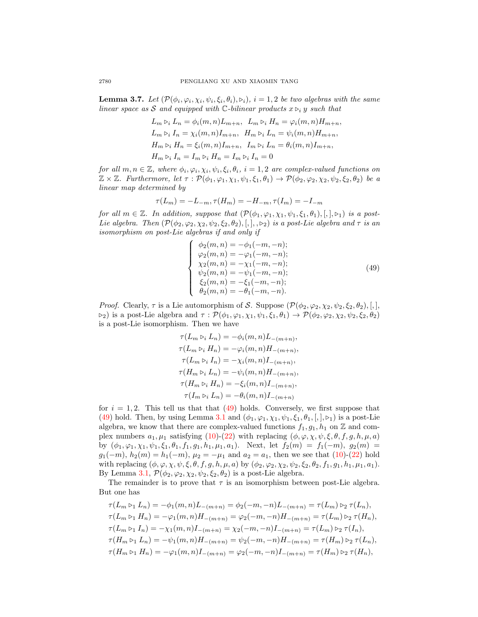<span id="page-9-1"></span>**Lemma 3.7.** Let  $(\mathcal{P}(\phi_i, \varphi_i, \chi_i, \psi_i, \xi_i, \theta_i), \varphi_i)$ ,  $i = 1, 2$  be two algebras with the same linear space as S and equipped with C-bilinear products  $x \triangleright_i y$  such that

$$
L_m \triangleright_i L_n = \phi_i(m, n) L_{m+n}, \quad L_m \triangleright_i H_n = \varphi_i(m, n) H_{m+n},
$$
  
\n
$$
L_m \triangleright_i I_n = \chi_i(m, n) I_{m+n}, \quad H_m \triangleright_i L_n = \psi_i(m, n) H_{m+n},
$$
  
\n
$$
H_m \triangleright_i H_n = \xi_i(m, n) I_{m+n}, \quad I_m \triangleright_i L_n = \theta_i(m, n) I_{m+n},
$$
  
\n
$$
H_m \triangleright_i I_n = I_m \triangleright_i H_n = I_m \triangleright_i I_n = 0
$$

for all  $m, n \in \mathbb{Z}$ , where  $\phi_i, \varphi_i, \chi_i, \psi_i, \xi_i, \theta_i, i = 1, 2$  are complex-valued functions on  $\mathbb{Z} \times \mathbb{Z}$ . Furthermore, let  $\tau : \mathcal{P}(\phi_1, \varphi_1, \chi_1, \psi_1, \xi_1, \theta_1) \to \mathcal{P}(\phi_2, \varphi_2, \chi_2, \psi_2, \xi_2, \theta_2)$  be a linear map determined by

$$
\tau(L_m)=-L_{-m}, \tau(H_m)=-H_{-m}, \tau(I_m)=-I_{-m}
$$

for all  $m \in \mathbb{Z}$ . In addition, suppose that  $(\mathcal{P}(\phi_1, \varphi_1, \chi_1, \psi_1, \xi_1, \theta_1), [,],\phi_1)$  is a post-Lie algebra. Then  $(\mathcal{P}(\phi_2, \varphi_2, \chi_2, \psi_2, \xi_2, \theta_2), [,], \varphi_2)$  is a post-Lie algebra and  $\tau$  is an isomorphism on post-Lie algebras if and only if

<span id="page-9-0"></span>
$$
\begin{cases}\n\phi_2(m,n) = -\phi_1(-m,-n);\n\varphi_2(m,n) = -\varphi_1(-m,-n);\n\chi_2(m,n) = -\chi_1(-m,-n);\n\psi_2(m,n) = -\psi_1(-m,-n);\n\xi_2(m,n) = -\xi_1(-m,-n);\n\theta_2(m,n) = -\theta_1(-m,-n).\n\end{cases} (49)
$$

*Proof.* Clearly,  $\tau$  is a Lie automorphism of S. Suppose  $(\mathcal{P}(\phi_2, \varphi_2, \chi_2, \psi_2, \xi_2, \theta_2), [ , ],$  $\triangleright_2$ ) is a post-Lie algebra and  $\tau : \mathcal{P}(\phi_1, \varphi_1, \chi_1, \psi_1, \xi_1, \theta_1) \to \mathcal{P}(\phi_2, \varphi_2, \chi_2, \psi_2, \xi_2, \theta_2)$ is a post-Lie isomorphism. Then we have

$$
\tau(L_m \triangleright_i L_n) = -\phi_i(m, n)L_{-(m+n)},
$$
  
\n
$$
\tau(L_m \triangleright_i H_n) = -\varphi_i(m, n)H_{-(m+n)},
$$
  
\n
$$
\tau(L_m \triangleright_i I_n) = -\chi_i(m, n)I_{-(m+n)},
$$
  
\n
$$
\tau(H_m \triangleright_i L_n) = -\psi_i(m, n)H_{-(m+n)},
$$
  
\n
$$
\tau(H_m \triangleright_i H_n) = -\xi_i(m, n)I_{-(m+n)},
$$
  
\n
$$
\tau(I_m \triangleright_i L_n) = -\theta_i(m, n)I_{-(m+n)}
$$

for  $i = 1, 2$ . This tell us that that [\(49\)](#page-9-0) holds. Conversely, we first suppose that [\(49\)](#page-9-0) hold. Then, by using Lemma [3.1](#page-2-3) and  $(\phi_1, \phi_1, \chi_1, \psi_1, \xi_1, \theta_1,[,], \triangleright_1)$  is a post-Lie algebra, we know that there are complex-valued functions  $f_1, g_1, h_1$  on Z and complex numbers  $a_1, \mu_1$  satisfying [\(10\)](#page-2-2)-[\(22\)](#page-2-2) with replacing  $(\phi, \varphi, \chi, \psi, \xi, \theta, f, g, h, \mu, a)$ by  $(\phi_1, \varphi_1, \chi_1, \psi_1, \xi_1, \theta_1, f_1, g_1, h_1, \mu_1, a_1)$ . Next, let  $f_2(m) = f_1(-m)$ ,  $g_2(m) =$  $g_1(-m)$ ,  $h_2(m) = h_1(-m)$ ,  $\mu_2 = -\mu_1$  and  $a_2 = a_1$ , then we see that [\(10\)](#page-2-2)-[\(22\)](#page-2-2) hold with replacing  $(\phi, \varphi, \chi, \psi, \xi, \theta, f, g, h, \mu, a)$  by  $(\phi_2, \varphi_2, \chi_2, \psi_2, \xi_2, \theta_2, f_1, g_1, h_1, \mu_1, a_1)$ . By Lemma [3.1,](#page-2-3)  $\mathcal{P}(\phi_2, \varphi_2, \chi_2, \psi_2, \xi_2, \theta_2)$  is a post-Lie algebra.

The remainder is to prove that  $\tau$  is an isomorphism between post-Lie algebra. But one has

$$
\tau(L_m \triangleright_1 L_n) = -\phi_1(m, n)L_{-(m+n)} = \phi_2(-m, -n)L_{-(m+n)} = \tau(L_m) \triangleright_2 \tau(L_n),
$$
  
\n
$$
\tau(L_m \triangleright_1 H_n) = -\varphi_1(m, n)H_{-(m+n)} = \varphi_2(-m, -n)H_{-(m+n)} = \tau(L_m) \triangleright_2 \tau(H_n),
$$
  
\n
$$
\tau(L_m \triangleright_1 I_n) = -\chi_1(m, n)I_{-(m+n)} = \chi_2(-m, -n)I_{-(m+n)} = \tau(L_m) \triangleright_2 \tau(I_n),
$$
  
\n
$$
\tau(H_m \triangleright_1 L_n) = -\psi_1(m, n)H_{-(m+n)} = \psi_2(-m, -n)H_{-(m+n)} = \tau(H_m) \triangleright_2 \tau(L_n),
$$
  
\n
$$
\tau(H_m \triangleright_1 H_n) = -\varphi_1(m, n)I_{-(m+n)} = \varphi_2(-m, -n)I_{-(m+n)} = \tau(H_m) \triangleright_2 \tau(H_n),
$$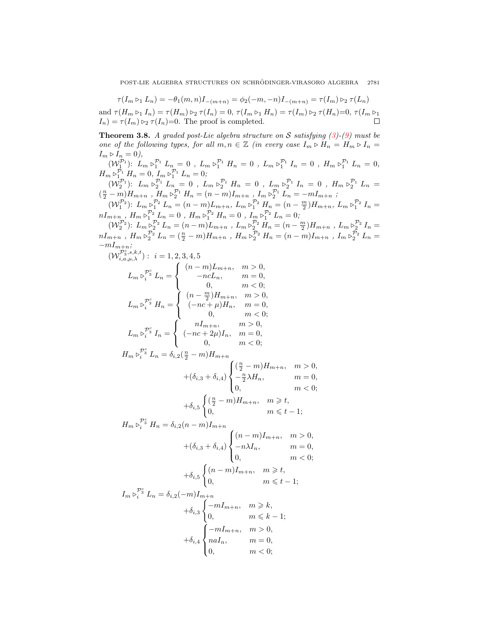$\tau(I_m \triangleright_1 L_n) = -\theta_1(m, n)I_{-(m+n)} = \phi_2(-m, -n)I_{-(m+n)} = \tau(I_m) \triangleright_2 \tau(L_n)$ and  $\tau(H_m \triangleright_1 I_n) = \tau(H_m) \triangleright_2 \tau(I_n) = 0$ ,  $\tau(I_m \triangleright_1 H_n) = \tau(I_m) \triangleright_2 \tau(H_n)=0$ ,  $\tau(I_m \triangleright_1$  $I_n$ ) =  $\tau(I_m) \geq \tau(I_n)$ =0. The proof is completed. П

**Theorem 3.8.** A graded post-Lie algebra structure on S satisfying  $(3)-(9)$  $(3)-(9)$  $(3)-(9)$  must be one of the following types, for all  $m, n \in \mathbb{Z}$  (in every case  $I_m \triangleright H_n = H_m \triangleright I_n =$  $I_m \triangleright I_n = 0$ ),

 $(W_1^{\mathcal{P}_1})$ :  $L_m \triangleright_1^{\mathcal{P}_1} L_n = 0$ ,  $L_m \triangleright_1^{\mathcal{P}_1} H_n = 0$ ,  $L_m \triangleright_1^{\mathcal{P}_1} L_n = 0$ ,  $H_m \triangleright_1^{\mathcal{P}_1} L_n = 0$ ,  $H_m \triangleright_{1}^{\mathcal{P}_1} H_n = 0, \, I_m \triangleright_{1}^{\mathcal{P}_1} L_n = 0;$  $(W_2^{\mathcal{P}_1})$ :  $L_m \triangleright_2^{\mathcal{P}_1} L_n = 0$ ,  $L_m \triangleright_2^{\mathcal{P}_1} H_n = 0$ ,  $L_m \triangleright_2^{\mathcal{P}_1} L_n = 0$ ,  $H_m \triangleright_2^{\mathcal{P}_1} L_n =$  $(\frac{n}{2} - m)H_{m+n}$ ,  $H_m \triangleright_2^{\mathcal{P}_1} H_n = (n-m)I_{m+n}$ ,  $I_m \triangleright_2^{\mathcal{P}_1} L_n = -mI_{m+n}$ ;  $(W_1^{\mathcal{P}_2})$ :  $L_m \triangleright_1^{\mathcal{P}_2} L_n = (n-m)L_{m+n}, L_m \triangleright_1^{\mathcal{P}_2} H_n = (n-\frac{m}{2})H_{m+n}, L_m \triangleright_1^{\mathcal{P}_2} I_n =$  $nI_{m+n}$ ,  $H_m \triangleright_1^{\mathcal{P}_2} L_n = 0$ ,  $H_m \triangleright_1^{\mathcal{P}_2} H_n = 0$ ,  $I_m \triangleright_1^{\mathcal{P}_2} L_n = 0$ ;  $(W_2^{\mathcal{P}_2})$ :  $L_m \trianglerighteq_2^{\mathcal{P}_2} L_n = (n-m)L_{m+n}$ ,  $L_m \trianglerighteq_2^{\mathcal{P}_2} H_n = (n-\frac{m}{2})H_{m+n}$ ,  $L_m \trianglerighteq_2^{\mathcal{P}_2} I_n =$  $nI_{m+n}$ ,  $H_m \triangleright_2^{\mathcal{P}_2} L_n = (\frac{n}{2} - m)H_{m+n}$ ,  $H_m \triangleright_2^{\mathcal{P}_2} H_n = (n-m)I_{m+n}$ ,  $I_m \triangleright_2^{\mathcal{P}_2} L_n =$  $-mI_{m+n};$  $(W_{i,a,\mu,\lambda}^{\mathcal{P}_3^c,s,k,t}): i=1,2,3,4,5$  $L_m \triangleright_i^{\mathcal{P}_3^c} L_n =$  $\sqrt{ }$ J  $\mathcal{L}$  $(n - m)L_{m+n}, \quad m > 0,$  $-ncL_n$ ,  $m = 0$ , 0,  $m < 0$ ;  $L_m \triangleright_i^{\mathcal{P}_3^c} H_n =$  $\sqrt{ }$ J  $\mathcal{L}$  $(n - \frac{m}{2})H_{m+n}, \quad m > 0,$  $(-nc + \mu)H_n$ ,  $m = 0$ , 0,  $m < 0$ ;  $L_m \triangleright_i^{\mathcal{P}_3^c} I_n =$  $\sqrt{ }$ J  $\mathcal{L}$  $nI_{m+n}$ ,  $m > 0$ ,  $(-nc + 2\mu)I_n, \quad m = 0,$ 0,  $m < 0$ ;  $H_m \triangleright_i^{\mathcal{P}_3^c} L_n = \delta_{i,2}(\frac{n}{2} - m) H_{m+n}$  $+(\delta_{i,3} + \delta_{i,4})$  $\sqrt{ }$  $\int$  $\mathcal{L}$  $(\frac{n}{2} - m)H_{m+n}$ ,  $m > 0$ ,  $-\frac{n}{2}\lambda H_n, \qquad m=0,$  $0, \hspace{1cm} m < 0;$  $+\delta_{i,5}$  $\int (\frac{n}{2} - m) H_{m+n}$ ,  $m \geqslant t$ , 0,  $m \leqslant t-1$ ;  $H_m \triangleright_i^{\mathcal{P}_3^c}$  $H_m \triangleright_i^{\mathcal{P}_3^c} H_n = \delta_{i,2}(n-m)I_{m+n}$  $+(\delta_{i,3}+\delta_{i,4})$  $\sqrt{ }$  $\int$  $\overline{\mathcal{L}}$  $(n - m)I_{m+n}, \quad m > 0,$  $-n\lambda I_n, \hspace{1cm} m=0,$  $0, \qquad m < 0;$  $+\delta_{i,5}$  $\int (n-m)I_{m+n}, \quad m \geqslant t,$ 0,  $m \leqslant t-1$ ;  $I_m \triangleright_i^{\mathcal{P}_3^c} L_n = \delta_{i,2}(-m)I_{m+n}$  $+\delta_{i,3}$  $\int -mI_{m+n}$ ,  $m \geqslant k$ , 0,  $m \leqslant k - 1;$  $+\delta_{i,4}$  $\sqrt{ }$  $\int$  $\mathcal{L}$  $-mI_{m+n}$ ,  $m > 0$ ,  $naI_n, \qquad m = 0,$ 0,  $m < 0$ ;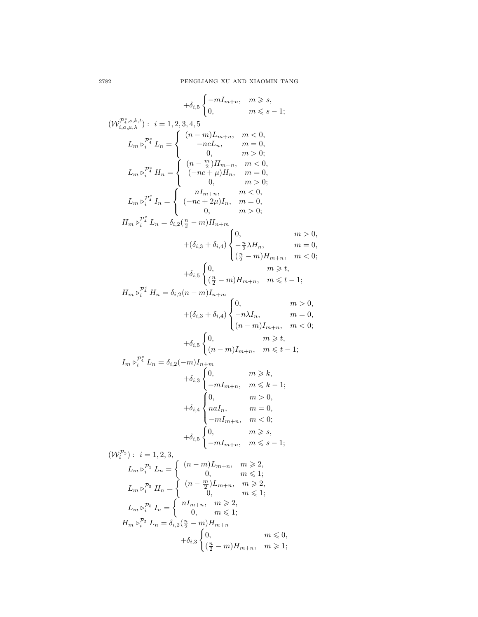$$
+ \delta_{i,5} \begin{cases} -mI_{m+n}, & m \geq s, \\ 0, & m \leq s-1; \end{cases}
$$
  
\n
$$
(W_{i,a,\mu,\lambda}^{p_i^s}; \ i = 1, 2, 3, 4, 5
$$
  
\n
$$
L_m \triangleright_i^{p_i^s} L_n = \begin{cases} (n-m)L_{m+n}, & m < 0, \\ -ncL_n, & m = 0, \\ (n-\frac{m}{2})H_{m+n}, & m < 0, \\ (-nc+\mu)H_n, & m = 0, \\ 0, & m > 0; \end{cases}
$$
  
\n
$$
L_m \triangleright_i^{p_i^s} I_n = \begin{cases} (n-\frac{n}{2})H_{m+n}, & m < 0, \\ (-nc+\mu)H_n, & m = 0, \\ 0, & m > 0; \end{cases}
$$
  
\n
$$
H_m \triangleright_i^{p_i^s} L_n = \delta_{i,2}(\frac{n}{2} - m)H_{n+m}
$$
  
\n
$$
+ (\delta_{i,3} + \delta_{i,4}) \begin{cases} 0, & m \geq 0, \\ -\frac{n}{2}\lambda H_n, & m = 0, \\ (\frac{n}{2} - m)H_{m+n}, & m \leq t-1; \\ (\frac{n}{2} - m)H_{m+n}, & m \leq t-1; \end{cases}
$$
  
\n
$$
H_m \triangleright_i^{p_i^s} H_n = \delta_{i,2}(n-m)I_{n+m}
$$
  
\n
$$
+ (\delta_{i,3} + \delta_{i,4}) \begin{cases} 0, & m \geq 0, \\ (n-m)H_{m+n}, & m \leq t-1; \\ (n-m)I_{m+n}, & m \leq t-1; \end{cases}
$$
  
\n
$$
I_m \triangleright_i^{p_i^s} L_n = \delta_{i,2}(-m)I_{n+m}
$$
  
\n
$$
+ \delta_{i,5} \begin{cases} 0, & m \geq k, \\ (n-m)I_{m+n}, & m \leq k-1; \\ (n-m)I_{m+n}, & m \leq k-1; \end{cases}
$$
  
\n
$$
+ \delta_{i,5} \begin{cases} 0, & m \geq k, \\ (n-m)I_{m+n}, & m \leq k-1; \\ (n-m)I_{m+n}, & m \leq k-
$$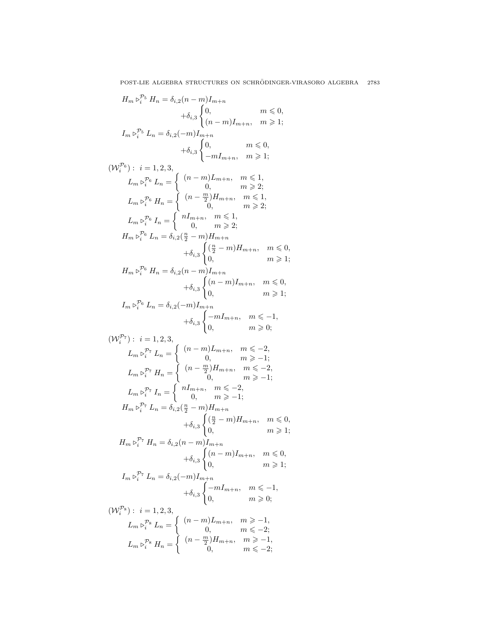$$
H_{m} \triangleright_{i}^{P_{5}} H_{n} = \delta_{i,2}(n-m)I_{m+n} + \delta_{i,3}\begin{cases} 0, & m \leq 0, \\ (n-m)I_{m+n}, & m \geq 1; \end{cases}
$$
  
\n
$$
I_{m} \triangleright_{i}^{P_{5}} L_{n} = \delta_{i,2}(-m)I_{m+n} + \delta_{i,3}\begin{cases} 0, & m \leq 0, \\ (n-m)I_{m+n}, & m \geq 1; \end{cases}
$$
  
\n
$$
(W_{i}^{P_{6}}): i = 1, 2, 3, \qquad L_{m} \triangleright_{i}^{P_{6}} L_{n} = \begin{cases} (n-m)L_{m+n}, & m \leq 1, \\ 0, & m \geq 2; \end{cases}
$$
  
\n
$$
L_{m} \triangleright_{i}^{P_{6}} H_{n} = \begin{cases} (n-\frac{m}{2})H_{m+n}, & m \leq 1, \\ 0, & m \geq 2; \end{cases}
$$
  
\n
$$
L_{m} \triangleright_{i}^{P_{6}} L_{n} = \begin{cases} nI_{m+n}, & m \leq 1, \\ 0, & m \geq 2; \end{cases}
$$
  
\n
$$
H_{m} \triangleright_{i}^{P_{6}} L_{n} = \delta_{i,2}(\frac{n}{2} - m)H_{m+n} + \delta_{i,3}\begin{cases} (\frac{n}{2} - m)H_{m+n}, & m \leq 0, \\ (n-m)I_{m+n}, & m \leq 0, \\ 0, & m \geq 1; \end{cases}
$$
  
\n
$$
I_{m} \triangleright_{i}^{P_{6}} H_{n} = \delta_{i,2}(n-m)I_{m+n} + \delta_{i,3}\begin{cases} (n-m)I_{m+n}, & m \leq -1, \\ (n-m)I_{m+n}, & m \leq -1, \\ 0, & m \geq -1; \end{cases}
$$
  
\n
$$
L_{m} \triangleright_{i}^{P_{7}} L_{n} = \begin{cases} (n-m)L_{m+n}, & m \leq -2, \\ 0, & m \geq -1; \end{cases}
$$
  
\n
$$
L_{m} \triangleright_{i}^{P_{7}} L_{n} = \begin{cases} (n-m)
$$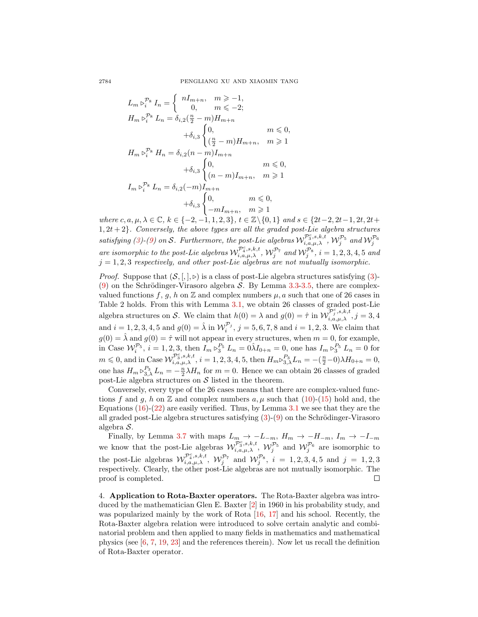$$
L_m \triangleright_i^{P_8} I_n = \begin{cases} nI_{m+n}, & m \ge -1, \\ 0, & m \le -2; \end{cases}
$$
  
\n
$$
H_m \triangleright_i^{P_8} L_n = \delta_{i,2}(\frac{n}{2} - m) H_{m+n}
$$
  
\n
$$
+ \delta_{i,3} \begin{cases} 0, & m \le 0, \\ (\frac{n}{2} - m) H_{m+n}, & m \ge 1 \end{cases}
$$
  
\n
$$
H_m \triangleright_i^{P_8} H_n = \delta_{i,2} (n - m) I_{m+n}
$$
  
\n
$$
+ \delta_{i,3} \begin{cases} 0, & m \le 0, \\ (n - m) I_{m+n}, & m \ge 1 \end{cases}
$$
  
\n
$$
I_m \triangleright_i^{P_8} L_n = \delta_{i,2} (-m) I_{m+n}
$$
  
\n
$$
+ \delta_{i,3} \begin{cases} 0, & m \le 0, \\ -m I_{m+n}, & m \ge 1 \end{cases}
$$

where c, a,  $\mu, \lambda \in \mathbb{C}$ ,  $k \in \{-2, -1, 1, 2, 3\}$ ,  $t \in \mathbb{Z}\backslash \{0, 1\}$  and  $s \in \{2t-2, 2t-1, 2t, 2t+$  $1, 2t + 2$ . Conversely, the above types are all the graded post-Lie algebra structures satisfying [\(3\)](#page-2-0)-[\(9\)](#page-2-0) on S. Furthermore, the post-Lie algebras  $W_{i,a,\mu,\lambda}^{\mathcal{P}_3^c,s,k,t}$ ,  $W_j^{\mathcal{P}_5}$  and  $W_j^{\mathcal{P}_6}$ are isomorphic to the post-Lie algebras  $\mathcal{W}^{\mathcal{P}_4^c,s,k,t}_{i,a,\mu,\lambda}$ ,  $\mathcal{W}^{\mathcal{P}_7}_j$  and  $\mathcal{W}^{\mathcal{P}_8}_j$ ,  $i=1,2,3,4,5$  and  $j = 1, 2, 3$  respectively, and other post-Lie algebras are not mutually isomorphic.

*Proof.* Suppose that  $(S, [,], \triangleright)$  is a class of post-Lie algebra structures satisfying [\(3\)](#page-2-0)-[\(9\)](#page-2-0) on the Schrödinger-Virasoro algebra  $S$ . By Lemma [3.3](#page-3-4)[-3.5,](#page-5-1) there are complexvalued functions f, g, h on  $\mathbb Z$  and complex numbers  $\mu$ , a such that one of 26 cases in Table 2 holds. From this with Lemma [3.1,](#page-2-3) we obtain 26 classes of graded post-Lie algebra structures on S. We claim that  $h(0) = \lambda$  and  $g(0) = \hat{\tau}$  in  $\mathcal{W}_{i,a,\mu,\lambda}^{\mathcal{P}_j^c,s,k,t}$ ,  $j = 3, 4$ and  $i = 1, 2, 3, 4, 5$  and  $g(0) = \hat{\lambda}$  in  $\mathcal{W}_i^{\mathcal{P}_j}$ ,  $j = 5, 6, 7, 8$  and  $i = 1, 2, 3$ . We claim that  $g(0) = \hat{\lambda}$  and  $g(0) = \hat{\tau}$  will not appear in every structures, when  $m = 0$ , for example, in Case  $\mathcal{W}_i^{p_5}$ ,  $i = 1, 2, 3$ , then  $I_m \triangleright_3^{p_5} L_n = 0 \hat{\lambda} I_{0+n} = 0$ , one has  $I_m \triangleright_3^{p_5} L_n = 0$  for  $m \leq 0$ , and in Case  $\mathcal{W}^{\mathcal{P}_3^c,s,k,t}_{i,a,\mu,\lambda}$ ,  $i = 1,2,3,4,5$ , then  $H_m \triangleright_{3,\lambda}^{P_3} L_n = -(\frac{n}{2}-0)\lambda H_{0+n} = 0$ , one has  $H_m \triangleright^{P_3}_{3,\lambda} L_n = -\frac{n}{2} \lambda H_n$  for  $m = 0$ . Hence we can obtain 26 classes of graded post-Lie algebra structures on  $S$  listed in the theorem.

Conversely, every type of the 26 cases means that there are complex-valued functions f and g, h on Z and complex numbers  $a, \mu$  such that  $(10)-(15)$  $(10)-(15)$  $(10)-(15)$  hold and, the Equations  $(16)-(22)$  $(16)-(22)$  $(16)-(22)$  are easily verified. Thus, by Lemma [3.1](#page-2-3) we see that they are the all graded post-Lie algebra structures satisfying  $(3)-(9)$  $(3)-(9)$  $(3)-(9)$  on the Schrödinger-Virasoro algebra S.

Finally, by Lemma [3.7](#page-9-1) with maps  $L_m \rightarrow -L_{-m}$ ,  $H_m \rightarrow -H_{-m}$ ,  $I_m \rightarrow -I_{-m}$ we know that the post-Lie algebras  $\mathcal{W}_{i,a,\mu,\lambda}^{\mathcal{P}_3^c,s,k,t}$ ,  $\mathcal{W}_j^{\mathcal{P}_5}$  and  $\mathcal{W}_j^{\mathcal{P}_6}$  are isomorphic to the post-Lie algebras  $\mathcal{W}^{\mathcal{P}_4^c,s,k,t}_{i,a,\mu,\lambda}$ ,  $\mathcal{W}^{\mathcal{P}_7}_{j}$  and  $\mathcal{W}^{\mathcal{P}_8}_{j}$ ,  $i = 1,2,3,4,5$  and  $j = 1,2,3$ respectively. Clearly, the other post-Lie algebras are not mutually isomorphic. The proof is completed. П

4. Application to Rota-Baxter operators. The Rota-Baxter algebra was introduced by the mathematician Glen E. Baxter [\[2\]](#page-17-5) in 1960 in his probability study, and was popularized mainly by the work of Rota [\[16,](#page-18-8) [17\]](#page-18-9) and his school. Recently, the Rota-Baxter algebra relation were introduced to solve certain analytic and combinatorial problem and then applied to many fields in mathematics and mathematical physics (see [\[6,](#page-17-6) [7,](#page-17-7) [19,](#page-18-10) [23\]](#page-18-11) and the references therein). Now let us recall the definition of Rota-Baxter operator.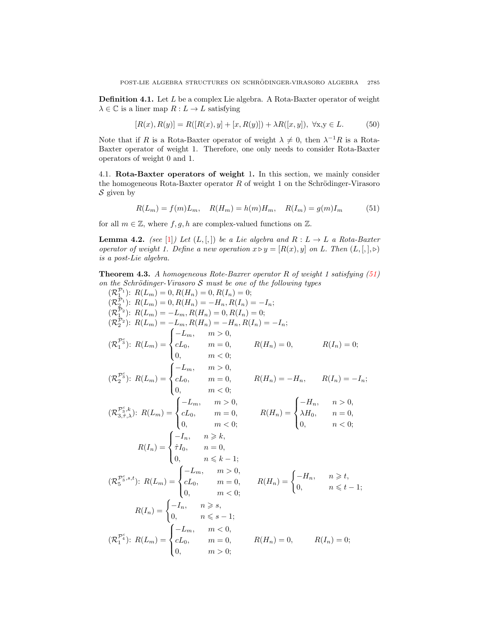**Definition 4.1.** Let  $L$  be a complex Lie algebra. A Rota-Baxter operator of weight  $\lambda \in \mathbb{C}$  is a liner map  $R: L \to L$  satisfying

$$
[R(x), R(y)] = R([R(x), y] + [x, R(y)]) + \lambda R([x, y]), \ \forall x, y \in L.
$$
 (50)

Note that if R is a Rota-Baxter operator of weight  $\lambda \neq 0$ , then  $\lambda^{-1}R$  is a Rota-Baxter operator of weight 1. Therefore, one only needs to consider Rota-Baxter operators of weight 0 and 1.

4.1. Rota-Baxter operators of weight 1. In this section, we mainly consider the homogeneous Rota-Baxter operator  $R$  of weight 1 on the Schrödinger-Virasoro  $S$  given by

<span id="page-14-0"></span>
$$
R(L_m) = f(m)L_m, \quad R(H_m) = h(m)H_m, \quad R(I_m) = g(m)I_m \tag{51}
$$

for all  $m \in \mathbb{Z}$ , where  $f, g, h$  are complex-valued functions on  $\mathbb{Z}$ .

<span id="page-14-1"></span>**Lemma 4.2.** (see [\[1\]](#page-17-8)) Let  $(L, [,])$  be a Lie algebra and  $R: L \rightarrow L$  a Rota-Baxter operator of weight 1. Define a new operation  $x \triangleright y = [R(x), y]$  on L. Then  $(L, [,], \triangleright)$ is a post-Lie algebra.

**Theorem 4.3.** A homogeneous Rote-Baxrer operator R of weight 1 satisfying  $(51)$ on the Schrödinger-Virasoro  $S$  must be one of the following types

$$
(\mathcal{R}_1^{T_1}): R(L_m) = 0, R(H_n) = 0, R(I_n) = 0;
$$
  
\n
$$
(\mathcal{R}_2^{T_2}): R(L_m) = 0, R(H_n) = -H_n, R(I_n) = -I_n;
$$
  
\n
$$
(\mathcal{R}_2^{T_2}): R(L_m) = -L_m, R(H_n) = 0, R(I_n) = 0;
$$
  
\n
$$
(\mathcal{R}_2^{T_2}): R(L_m) = -L_m, R(H_n) = -H_n, R(I_n) = -I_n;
$$
  
\n
$$
(\mathcal{R}_1^{T_3}): R(L_m) = \begin{cases} -L_m, & m > 0, \\ cL_0, & m = 0, \\ 0, & m < 0; \end{cases}
$$
  
\n
$$
(\mathcal{R}_2^{T_3}): R(L_m) = \begin{cases} -L_m, & m > 0, \\ cL_0, & m = 0, \\ cL_0, & m = 0, \\ 0, & m < 0; \end{cases}
$$
  
\n
$$
(\mathcal{R}_2^{T_3,k}): R(L_m) = \begin{cases} -L_m, & m > 0, \\ cL_0, & m = 0, \\ cL_0, & m = 0, \\ 0, & m < 0; \end{cases}
$$
  
\n
$$
R(H_n) = \begin{cases} -H_n, & n > 0, \\ \lambda H_0, & n = 0, \\ \lambda H_0, & n = 0, \\ 0, & n < 0; \end{cases}
$$
  
\n
$$
R(I_n) = \begin{cases} -I_n, & n \ge k, \\ \hat{\tau}I_0, & n = 0, \\ 0, & m \le k - 1; \\ 0, & m < 0; \end{cases}
$$
  
\n
$$
(\mathcal{R}_5^{T_3^c,s,t}): R(L_m) = \begin{cases} -L_m, & m > 0, \\ cL_0, & m = 0, \\ cL_0, & m = 0, \\ 0, & m \le 0; \end{cases}
$$
  
\n
$$
R(I_n) = \begin{cases} -L_m, & m > 0, \\ cL_0, & m = 0, \\ cL_0, & m = 0, \\ 0, & m > 0; \end{cases}
$$
  
\n
$$
R(I_n) = 0, \quad R(H_n) = 0, \quad R(H_n
$$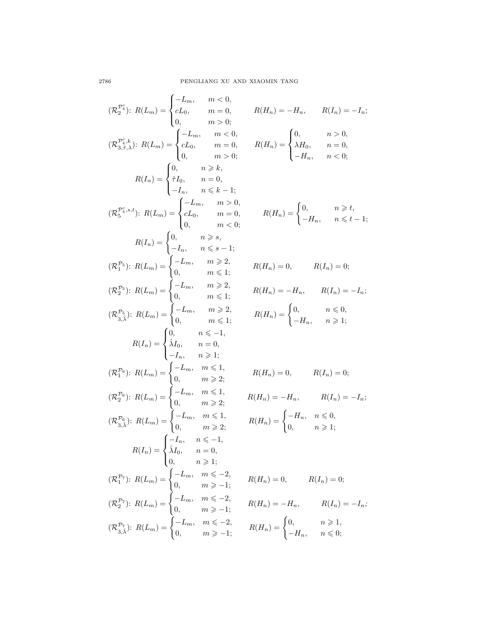$$
(\mathcal{R}_{2}^{\mathcal{P}_{2}^{\mathcal{C}}}): R(L_{m}) = \begin{cases} -L_{m}, & m < 0, \\ cL_{0}, & m = 0, \\ 0, & m > 0; \end{cases} \quad R(H_{n})
$$
  
\n
$$
(\mathcal{R}_{3,\tau,\lambda}^{\mathcal{P}_{1}^{\mathcal{C}},k}): R(L_{m}) = \begin{cases} -L_{m}, & m < 0, \\ cL_{0}, & m = 0, \\ cL_{0}, & m > 0; \end{cases} \quad R(H_{n})
$$
  
\n
$$
R(I_{n}) = \begin{cases} 0, & n \geq k, \\ \hat{\tau}I_{0}, & n = 0, \\ -I_{n}, & n \leq k-1; \end{cases}
$$
  
\n
$$
(\mathcal{R}_{5}^{\mathcal{P}_{2}^{\mathcal{C}},s,t}): R(L_{m}) = \begin{cases} -L_{m}, & m > 0, \\ cL_{0}, & m = 0, \\ 0, & m < 0; \end{cases}
$$
  
\n
$$
R(I_{n}) = \begin{cases} 0, & n \geq s, \\ -I_{n}, & n \leq s-1; \\ 0, & m \leq 1; \end{cases}
$$
  
\n
$$
(\mathcal{R}_{2}^{\mathcal{P}_{5}}): R(L_{m}) = \begin{cases} -L_{m}, & m \geq 2, \\ 0, & m \leq 1; \\ 0, & m \leq 1; \end{cases}
$$
  
\n
$$
(\mathcal{R}_{3,\lambda}^{\mathcal{P}_{5}}): R(L_{m}) = \begin{cases} -L_{m}, & m \geq 2, \\ 0, & m \leq 1; \\ 0, & m \leq 1; \end{cases}
$$
  
\n
$$
R(I_{n}) = \begin{cases} 0, & n \leq -1, \\ \lambda I_{0}, & n = 0, \\ 0, & m \geq 2; \end{cases}
$$
  
\n
$$
(\mathcal{R}_{2}^{\mathcal{P}_{6}}): R(L_{m}) = \begin{cases} -L_{m}, & m \leq 1, \\ 0, & m \geq 2; \\ 0, & m \geq 2; \end{cases}
$$
  
\n
$$
R(T_{n}) = \begin{cases} -L_{m}, & m \leq 1, \\ 0, & m \geq
$$

$$
R(H_n) = -H_n, \qquad R(I_n) = -I_n;
$$
  

$$
R(H_n) = \begin{cases} 0, & n > 0, \\ \lambda H_0, & n = 0, \\ -H_n, & n < 0; \end{cases}
$$

$$
R(H_n) = \begin{cases} 0, & n \geq t, \\ -H_n, & n \leq t - 1; \end{cases}
$$

$$
R(H_n) = 0, \t R(I_n) = 0;
$$
  
\n
$$
R(H_n) = -H_n, \t R(I_n) = -I_n;
$$
  
\n
$$
R(H_n) = \begin{cases} 0, & n \leq 0, \\ -H_n, & n \geq 1; \end{cases}
$$

$$
R(H_n) = 0, \t R(I_n) = 0;
$$
  

$$
R(H_n) = -H_n, \t R(I_n) = -I_n;
$$
  

$$
R(H_n) = \begin{cases} -H_n, & n \leq 0, \\ 0, & n \geq 1; \end{cases}
$$

$$
R(H_n) = 0, \t R(I_n) = 0;
$$
  
\n
$$
R(H_n) = -H_n, \t R(I_n) = -I_n;
$$
  
\n
$$
R(H_n) = \begin{cases} 0, & n \ge 1, \\ -H_n, & n \le 0; \end{cases}
$$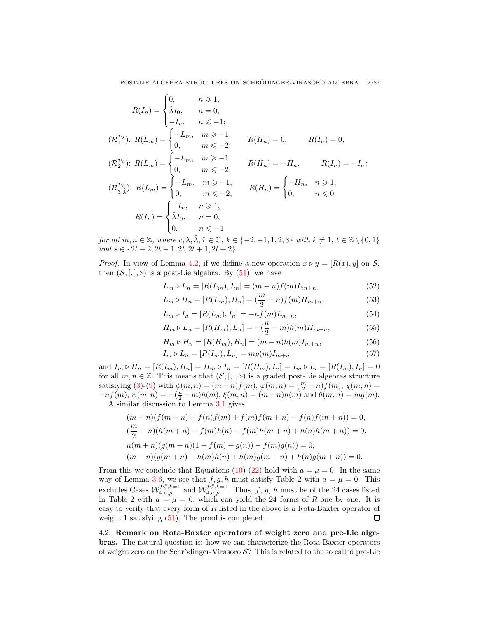$$
R(I_n) = \begin{cases} 0, & n \ge 1, \\ \hat{\lambda}I_0, & n = 0, \\ -I_n, & n \le -1; \end{cases}
$$
  
\n
$$
(\mathcal{R}_1^{\mathcal{P}_8}) : R(L_m) = \begin{cases} -L_m, & m \ge -1, \\ 0, & m \le -2; \end{cases}
$$
  
\n
$$
R(H_n) = 0, \qquad R(I_n) = 0;
$$
  
\n
$$
(\mathcal{R}_2^{\mathcal{P}_8}) : R(L_m) = \begin{cases} -L_m, & m \ge -1, \\ 0, & m \le -2, \end{cases}
$$
  
\n
$$
R(H_n) = -H_n, \qquad R(I_n) = -I_n;
$$
  
\n
$$
(\mathcal{R}_{3,\hat{\lambda}}^{\mathcal{P}_8}) : R(L_m) = \begin{cases} -L_m, & m \ge -1, \\ 0, & m \le -2, \end{cases}
$$
  
\n
$$
R(H_n) = \begin{cases} -H_n, & n \ge 1, \\ 0, & n \le 0; \end{cases}
$$
  
\n
$$
R(I_n) = \begin{cases} -I_n, & n \ge 1, \\ \hat{\lambda}I_0, & n = 0, \\ 0, & n \le -1 \end{cases}
$$

for all  $m, n \in \mathbb{Z}$ , where  $c, \lambda, \hat{\lambda}, \hat{\tau} \in \mathbb{C}$ ,  $k \in \{-2, -1, 1, 2, 3\}$  with  $k \neq 1$ ,  $t \in \mathbb{Z} \setminus \{0, 1\}$ and  $s \in \{2t-2, 2t-1, 2t, 2t+1, 2t+2\}.$ 

*Proof.* In view of Lemma [4.2,](#page-14-1) if we define a new operation  $x \triangleright y = [R(x), y]$  on S, then  $(S, [,], \triangleright)$  is a post-Lie algebra. By  $(51)$ , we have

<span id="page-16-0"></span>
$$
L_m \triangleright L_n = [R(L_m), L_n] = (m - n)f(m)L_{m+n}, \tag{52}
$$

$$
L_m \triangleright H_n = [R(L_m), H_n] = (\frac{m}{2} - n)f(m)H_{m+n}, \tag{53}
$$

$$
L_m \triangleright I_n = [R(L_m), I_n] = -nf(m)I_{m+n}, \tag{54}
$$

$$
H_m \triangleright L_n = [R(H_m), L_n] = -(\frac{n}{2} - m)h(m)H_{m+n},
$$
\n(55)

$$
H_m \triangleright H_n = [R(H_m), H_n] = (m - n)h(m)I_{m+n}, \tag{56}
$$

$$
I_m \triangleright L_n = [R(I_m), L_n] = mg(m)I_{m+n} \tag{57}
$$

and  $I_m \triangleright H_n = [R(I_m), H_n] = H_m \triangleright I_n = [R(H_m), I_n] = I_m \triangleright I_n = [R(I_m), I_n] = 0$ for all  $m, n \in \mathbb{Z}$ . This means that  $(\mathcal{S},[,],\triangleright)$  is a graded post-Lie algebras structure satisfying [\(3\)](#page-2-0)-[\(9\)](#page-2-0) with  $\phi(m,n) = (m-n)f(m)$ ,  $\varphi(m,n) = (\frac{m}{2} - n)f(m)$ ,  $\chi(m,n) =$  $-nf(m), \psi(m, n) = -(\frac{n}{2} - m)h(m), \xi(m, n) = (m - n)h(m)$  and  $\theta(m, n) = mg(m)$ . A similar discussion to Lemma [3.1](#page-2-3) gives

$$
(m-n)(f(m+n) - f(n)f(m) + f(m)f(m+n) + f(n)f(m+n)) = 0,
$$
  
\n
$$
(\frac{m}{2} - n)(h(m+n) - f(m)h(n) + f(m)h(m+n) + h(n)h(m+n)) = 0,
$$
  
\n
$$
n(m+n)(g(m+n)(1 + f(m) + g(n)) - f(m)g(n)) = 0,
$$
  
\n
$$
(m-n)(g(m+n) - h(m)h(n) + h(m)g(m+n) + h(n)g(m+n)) = 0.
$$

From this we conclude that Equations [\(10\)](#page-2-2)-[\(22\)](#page-2-2) hold with  $a = \mu = 0$ . In the same way of Lemma [3.6,](#page-7-0) we see that  $f, g, h$  must satisfy Table 2 with  $a = \mu = 0$ . This excludes Cases  $\mathcal{W}_{4,a,\mu}^{\mathcal{P}_3^c,k=1}$  and  $\mathcal{W}_{4,a,\mu}^{\mathcal{P}_4^c,k=1}$ . Thus, f, g, h must be of the 24 cases listed in Table 2 with  $a = \mu = 0$ , which can yield the 24 forms of R one by one. It is easy to verify that every form of R listed in the above is a Rota-Baxter operator of weight 1 satisfying  $(51)$ . The proof is completed.  $\Box$ 

4.2. Remark on Rota-Baxter operators of weight zero and pre-Lie algebras. The natural question is: how we can characterize the Rota-Baxter operators of weight zero on the Schrödinger-Virasoro  $\mathcal{S}$ ? This is related to the so called pre-Lie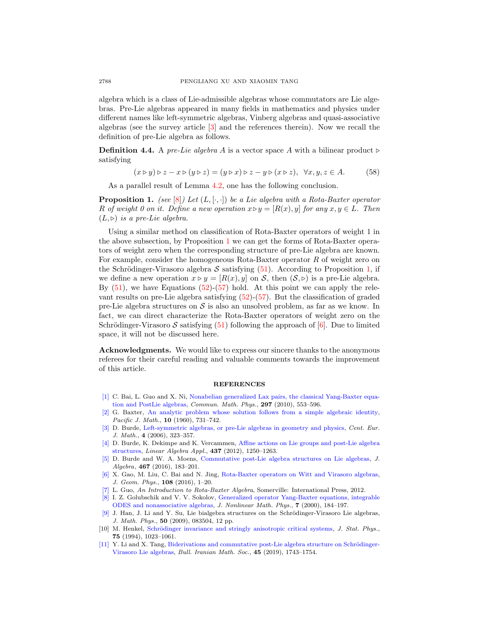algebra which is a class of Lie-admissible algebras whose commutators are Lie algebras. Pre-Lie algebras appeared in many fields in mathematics and physics under different names like left-symmetric algebras, Vinberg algebras and quasi-associative algebras (see the survey article [\[3\]](#page-17-9) and the references therein). Now we recall the definition of pre-Lie algebra as follows.

**Definition 4.4.** A pre-Lie algebra A is a vector space A with a bilinear product  $\triangleright$ satisfying

$$
(x \triangleright y) \triangleright z - x \triangleright (y \triangleright z) = (y \triangleright x) \triangleright z - y \triangleright (x \triangleright z), \ \forall x, y, z \in A. \tag{58}
$$

As a parallel result of Lemma [4.2,](#page-14-1) one has the following conclusion.

<span id="page-17-11"></span>**Proposition 1.** (see [\[8\]](#page-17-10)) Let  $(L, [\cdot, \cdot])$  be a Lie algebra with a Rota-Baxter operator R of weight 0 on it. Define a new operation  $x \triangleright y = [R(x), y]$  for any  $x, y \in L$ . Then  $(L, \triangleright)$  is a pre-Lie algebra.

Using a similar method on classification of Rota-Baxter operators of weight 1 in the above subsection, by Proposition [1](#page-17-11) we can get the forms of Rota-Baxter operators of weight zero when the corresponding structure of pre-Lie algebra are known. For example, consider the homogeneous Rota-Baxter operator R of weight zero on the Schrödinger-Virasoro algebra  $\mathcal S$  satisfying [\(51\)](#page-14-0). According to Proposition [1,](#page-17-11) if we define a new operation  $x \triangleright y = [R(x), y]$  on S, then  $(S, \triangleright)$  is a pre-Lie algebra. By  $(51)$ , we have Equations  $(52)-(57)$  $(52)-(57)$  $(52)-(57)$  hold. At this point we can apply the relevant results on pre-Lie algebra satisfying [\(52\)](#page-16-0)-[\(57\)](#page-16-0). But the classification of graded pre-Lie algebra structures on  $\mathcal S$  is also an unsolved problem, as far as we know. In fact, we can direct characterize the Rota-Baxter operators of weight zero on the Schrödinger-Virasoro S satisfying  $(51)$  following the approach of [\[6\]](#page-17-6). Due to limited space, it will not be discussed here.

Acknowledgments. We would like to express our sincere thanks to the anonymous referees for their careful reading and valuable comments towards the improvement of this article.

## **REFERENCES**

- <span id="page-17-8"></span>[\[1\]](http://www.ams.org/mathscinet-getitem?mr=MR2651910&return=pdf) C. Bai, L. Guo and X. Ni, [Nonabelian generalized Lax pairs, the classical Yang-Baxter equa](http://dx.doi.org/10.1007/s00220-010-0998-7)[tion and PostLie algebras,](http://dx.doi.org/10.1007/s00220-010-0998-7) Commun. Math. Phys., 297 (2010), 553–596.
- <span id="page-17-5"></span>[\[2\]](http://www.ams.org/mathscinet-getitem?mr=MR0119224&return=pdf) G. Baxter, [An analytic problem whose solution follows from a simple algebraic identity,](http://dx.doi.org/10.2140/pjm.1960.10.731) Pacific J. Math., **10** (1960), 731-742.
- <span id="page-17-9"></span>[\[3\]](http://www.ams.org/mathscinet-getitem?mr=MR2233854&return=pdf) D. Burde, [Left-symmetric algebras, or pre-Lie algebras in geometry and physics,](http://dx.doi.org/10.2478/s11533-006-0014-9) Cent. Eur. J. Math., 4 (2006), 323–357.
- <span id="page-17-3"></span>[\[4\]](http://www.ams.org/mathscinet-getitem?mr=MR2942346&return=pdf) D. Burde, K. Dekimpe and K. Vercammen, [Affine actions on Lie groups and post-Lie algebra](http://dx.doi.org/10.1016/j.laa.2012.04.007) [structures,](http://dx.doi.org/10.1016/j.laa.2012.04.007) Linear Algebra Appl., 437 (2012), 1250–1263.
- <span id="page-17-4"></span>[\[5\]](http://www.ams.org/mathscinet-getitem?mr=MR3545958&return=pdf) D. Burde and W. A. Moens, [Commutative post-Lie algebra structures on Lie algebras,](http://dx.doi.org/10.1016/j.jalgebra.2016.07.030) J. Algebra, 467 (2016), 183–201.
- <span id="page-17-6"></span>[\[6\]](http://www.ams.org/mathscinet-getitem?mr=MR3539486&return=pdf) X. Gao, M. Liu, C. Bai and N. Jing, [Rota-Baxter operators on Witt and Virasoro algebras,](http://dx.doi.org/10.1016/j.geomphys.2016.06.007) J. Geom. Phys., 108 (2016), 1–20.
- <span id="page-17-7"></span>[\[7\]](http://www.ams.org/mathscinet-getitem?mr=MR3025028&return=pdf) L. Guo, An Introduction to Rota-Baxter Algebra, Somerville: International Press, 2012.
- <span id="page-17-10"></span>[\[8\]](http://www.ams.org/mathscinet-getitem?mr=MR1763637&return=pdf) I. Z. Golubschik and V. V. Sokolov, [Generalized operator Yang-Baxter equations, integrable](http://dx.doi.org/10.2991/jnmp.2000.7.2.5) [ODES and nonassociative algebras,](http://dx.doi.org/10.2991/jnmp.2000.7.2.5) J. Nonlinear Math. Phys., 7 (2000), 184–197.
- <span id="page-17-1"></span>[\[9\]](http://www.ams.org/mathscinet-getitem?mr=MR2554432&return=pdf) J. Han, J. Li and Y. Su, Lie bialgebra structures on the Schrödinger-Virasoro Lie algebras, J. Math. Phys., 50 (2009), 083504, 12 pp.
- <span id="page-17-0"></span>[10] M. Henkel, Schrödinger invariance and stringly anisotropic critical systems, J. Stat. Phys., 75 (1994), 1023–1061.
- <span id="page-17-2"></span>[\[11\]](http://www.ams.org/mathscinet-getitem?mr=MR4026751&return=pdf) Y. Li and X. Tang, Biderivations and commutative post-Lie algebra structure on Schrödinger-[Virasoro Lie algebras,](http://dx.doi.org/10.1007/s41980-019-00226-2) Bull. Iranian Math. Soc., 45 (2019), 1743–1754.